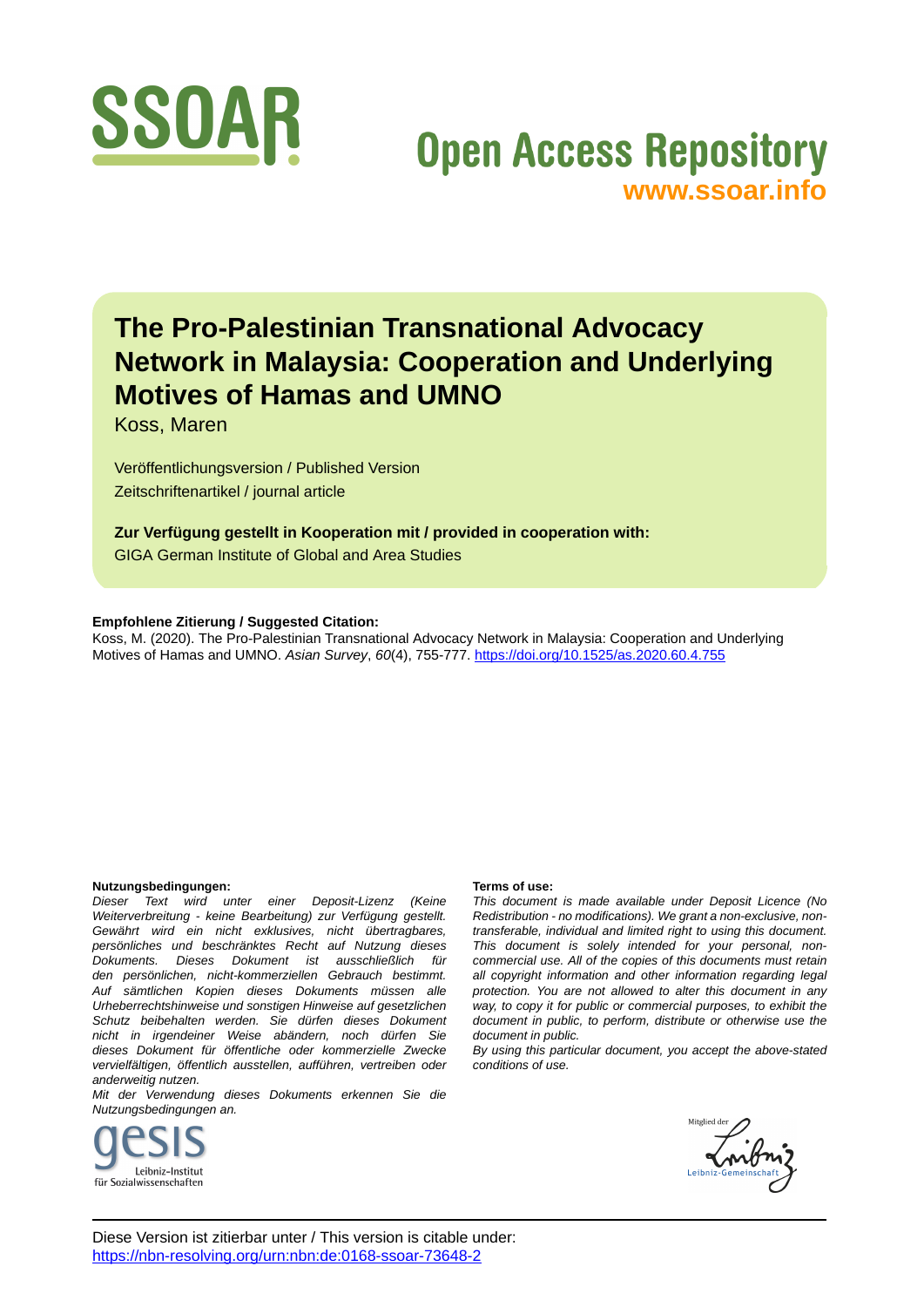

# **Open Access Repository [www.ssoar.info](http://www.ssoar.info)**

## **The Pro-Palestinian Transnational Advocacy Network in Malaysia: Cooperation and Underlying Motives of Hamas and UMNO**

Koss, Maren

Veröffentlichungsversion / Published Version Zeitschriftenartikel / journal article

**Zur Verfügung gestellt in Kooperation mit / provided in cooperation with:**

GIGA German Institute of Global and Area Studies

#### **Empfohlene Zitierung / Suggested Citation:**

Koss, M. (2020). The Pro-Palestinian Transnational Advocacy Network in Malaysia: Cooperation and Underlying Motives of Hamas and UMNO. *Asian Survey*, *60*(4), 755-777. <https://doi.org/10.1525/as.2020.60.4.755>

#### **Nutzungsbedingungen:**

*Dieser Text wird unter einer Deposit-Lizenz (Keine Weiterverbreitung - keine Bearbeitung) zur Verfügung gestellt. Gewährt wird ein nicht exklusives, nicht übertragbares, persönliches und beschränktes Recht auf Nutzung dieses Dokuments. Dieses Dokument ist ausschließlich für den persönlichen, nicht-kommerziellen Gebrauch bestimmt. Auf sämtlichen Kopien dieses Dokuments müssen alle Urheberrechtshinweise und sonstigen Hinweise auf gesetzlichen Schutz beibehalten werden. Sie dürfen dieses Dokument nicht in irgendeiner Weise abändern, noch dürfen Sie dieses Dokument für öffentliche oder kommerzielle Zwecke vervielfältigen, öffentlich ausstellen, aufführen, vertreiben oder anderweitig nutzen.*

*Mit der Verwendung dieses Dokuments erkennen Sie die Nutzungsbedingungen an.*



#### **Terms of use:**

*This document is made available under Deposit Licence (No Redistribution - no modifications). We grant a non-exclusive, nontransferable, individual and limited right to using this document. This document is solely intended for your personal, noncommercial use. All of the copies of this documents must retain all copyright information and other information regarding legal protection. You are not allowed to alter this document in any way, to copy it for public or commercial purposes, to exhibit the document in public, to perform, distribute or otherwise use the document in public.*

*By using this particular document, you accept the above-stated conditions of use.*

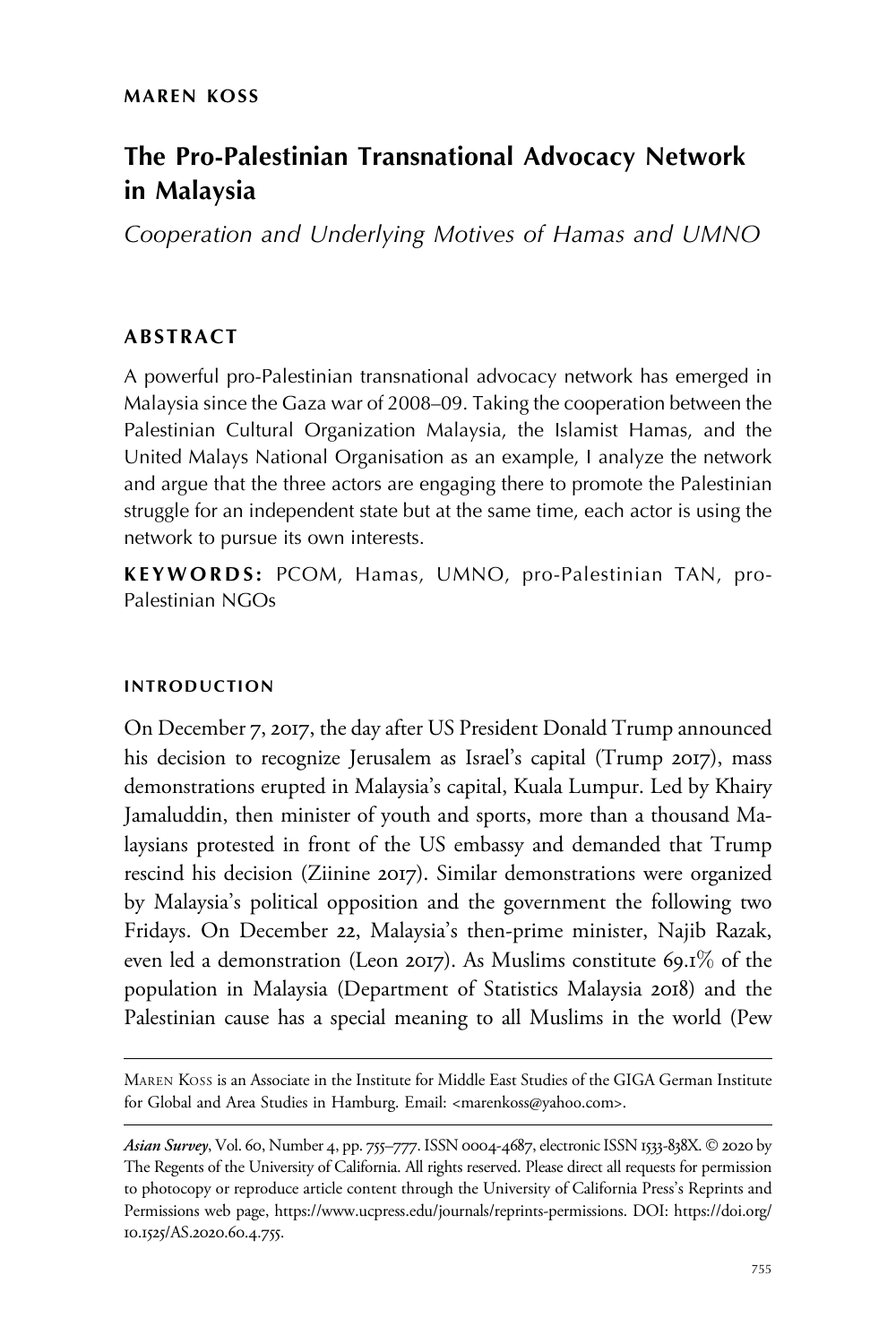## The Pro-Palestinian Transnational Advocacy Network in Malaysia

Cooperation and Underlying Motives of Hamas and UMNO

## ABSTRACT

A powerful pro-Palestinian transnational advocacy network has emerged in Malaysia since the Gaza war of 2008–09. Taking the cooperation between the Palestinian Cultural Organization Malaysia, the Islamist Hamas, and the United Malays National Organisation as an example, I analyze the network and argue that the three actors are engaging there to promote the Palestinian struggle for an independent state but at the same time, each actor is using the network to pursue its own interests.

KEYWORDS: PCOM, Hamas, UMNO, pro-Palestinian TAN, pro-Palestinian NGOs

## INTRODUCTION

On December 7, 2017, the day after US President Donald Trump announced his decision to recognize Jerusalem as Israel's capital (Trump 2017), mass demonstrations erupted in Malaysia's capital, Kuala Lumpur. Led by Khairy Jamaluddin, then minister of youth and sports, more than a thousand Malaysians protested in front of the US embassy and demanded that Trump rescind his decision (Ziinine 2017). Similar demonstrations were organized by Malaysia's political opposition and the government the following two Fridays. On December 22, Malaysia's then-prime minister, Najib Razak, even led a demonstration (Leon 2017). As Muslims constitute 69.1% of the population in Malaysia (Department of Statistics Malaysia 2018) and the Palestinian cause has a special meaning to all Muslims in the world (Pew

MAREN KOSS is an Associate in the Institute for Middle East Studies of the GIGA German Institute for Global and Area Studies in Hamburg. Email: <marenkoss@yahoo.com>.

Asian Survey, Vol. 60, Number 4, pp. 755–777. ISSN 0004-4687, electronic ISSN 1533-838X. © 2020 by The Regents of the University of California. All rights reserved. Please direct all requests for permission to photocopy or reproduce article content through the University of California Press's Reprints and Permissions web page,<https://www.ucpress.edu/journals/reprints-permissions>. [DOI: https://doi.org/](https://doi.org/10.1525/AS.2020.60.4.755) 10.1525[/AS.](https://doi.org/10.1525/AS.2020.60.4.755)2020.60.4.755.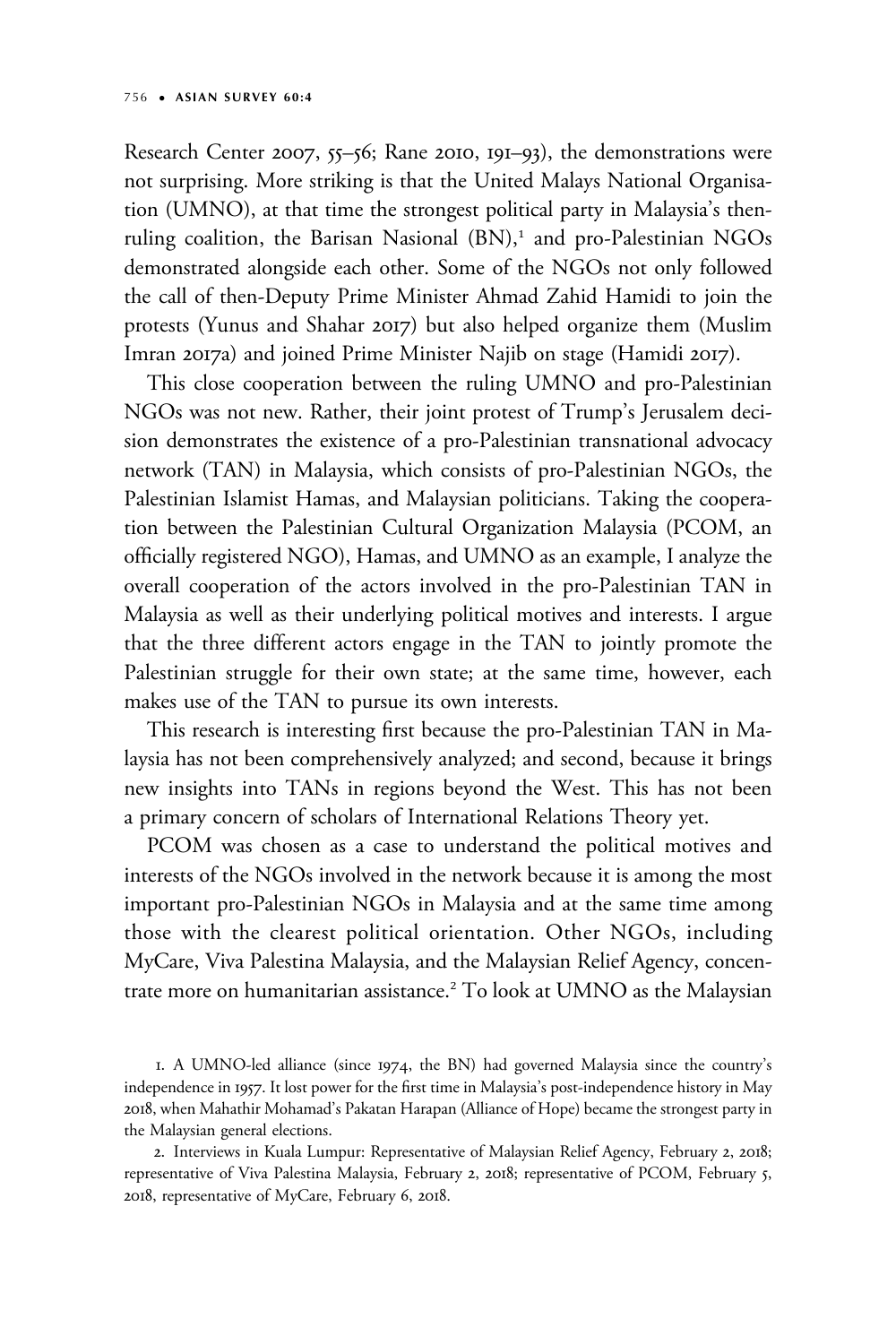Research Center 2007, 55–56; Rane 2010, 191–93), the demonstrations were not surprising. More striking is that the United Malays National Organisation (UMNO), at that time the strongest political party in Malaysia's thenruling coalition, the Barisan Nasional  $(BN)$ ,<sup>1</sup> and pro-Palestinian NGOs demonstrated alongside each other. Some of the NGOs not only followed the call of then-Deputy Prime Minister Ahmad Zahid Hamidi to join the protests (Yunus and Shahar 2017) but also helped organize them (Muslim Imran 2017a) and joined Prime Minister Najib on stage (Hamidi 2017).

This close cooperation between the ruling UMNO and pro-Palestinian NGOs was not new. Rather, their joint protest of Trump's Jerusalem decision demonstrates the existence of a pro-Palestinian transnational advocacy network (TAN) in Malaysia, which consists of pro-Palestinian NGOs, the Palestinian Islamist Hamas, and Malaysian politicians. Taking the cooperation between the Palestinian Cultural Organization Malaysia (PCOM, an officially registered NGO), Hamas, and UMNO as an example, I analyze the overall cooperation of the actors involved in the pro-Palestinian TAN in Malaysia as well as their underlying political motives and interests. I argue that the three different actors engage in the TAN to jointly promote the Palestinian struggle for their own state; at the same time, however, each makes use of the TAN to pursue its own interests.

This research is interesting first because the pro-Palestinian TAN in Malaysia has not been comprehensively analyzed; and second, because it brings new insights into TANs in regions beyond the West. This has not been a primary concern of scholars of International Relations Theory yet.

PCOM was chosen as a case to understand the political motives and interests of the NGOs involved in the network because it is among the most important pro-Palestinian NGOs in Malaysia and at the same time among those with the clearest political orientation. Other NGOs, including MyCare, Viva Palestina Malaysia, and the Malaysian Relief Agency, concentrate more on humanitarian assistance.<sup>2</sup> To look at UMNO as the Malaysian

1. A UMNO-led alliance (since 1974, the BN) had governed Malaysia since the country's independence in 1957. It lost power for the first time in Malaysia's post-independence history in May 2018, when Mahathir Mohamad's Pakatan Harapan (Alliance of Hope) became the strongest party in the Malaysian general elections.

2. Interviews in Kuala Lumpur: Representative of Malaysian Relief Agency, February 2, 2018; representative of Viva Palestina Malaysia, February 2, 2018; representative of PCOM, February 5, 2018, representative of MyCare, February 6, 2018.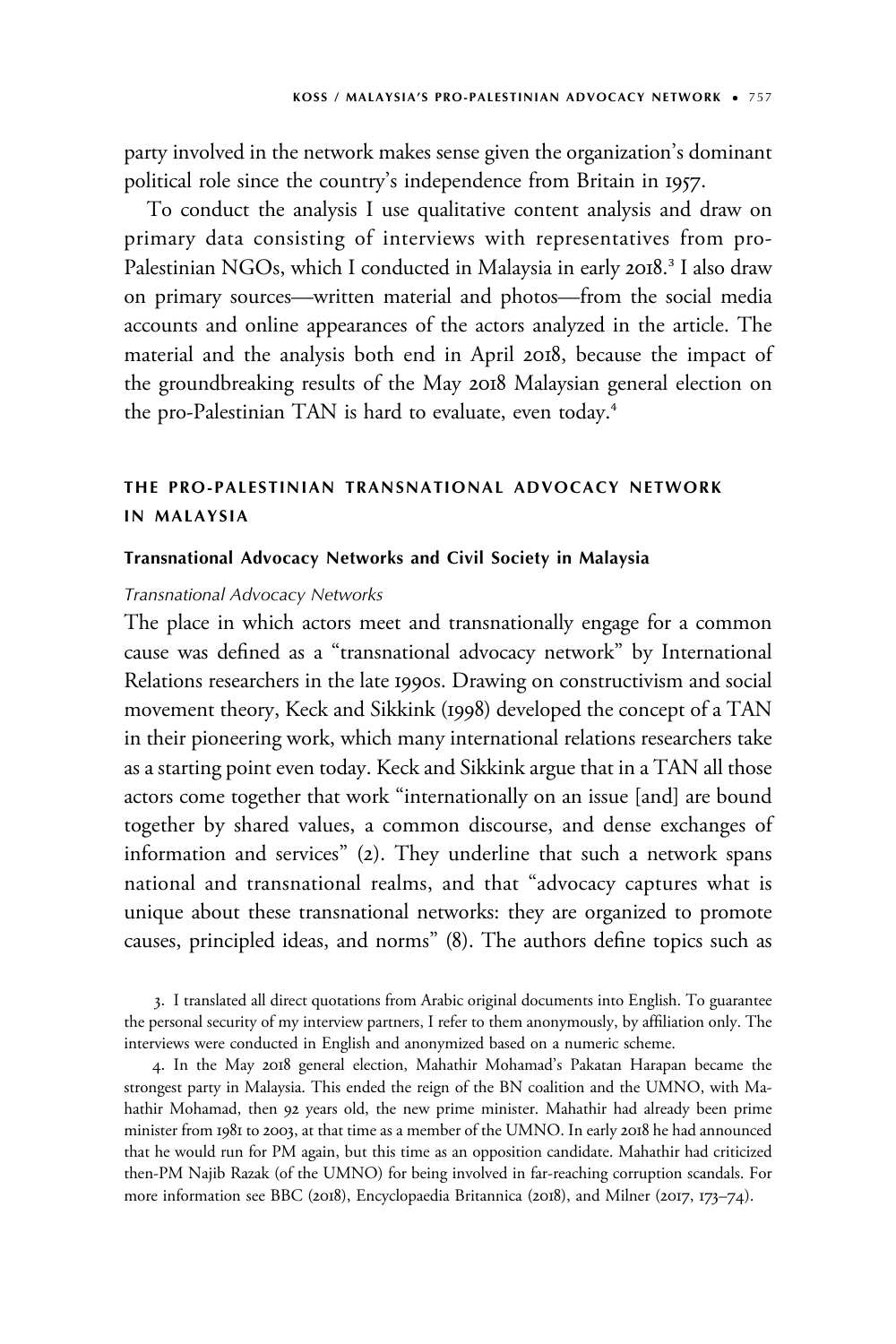party involved in the network makes sense given the organization's dominant political role since the country's independence from Britain in 1957.

To conduct the analysis I use qualitative content analysis and draw on primary data consisting of interviews with representatives from pro-Palestinian NGOs, which I conducted in Malaysia in early 2018.<sup>3</sup> I also draw on primary sources—written material and photos—from the social media accounts and online appearances of the actors analyzed in the article. The material and the analysis both end in April 2018, because the impact of the groundbreaking results of the May 2018 Malaysian general election on the pro-Palestinian TAN is hard to evaluate, even today.<sup>4</sup>

## THE PRO-PALESTINIAN TRANSNATIONAL ADVOCACY NETWORK IN MALAYSIA

#### Transnational Advocacy Networks and Civil Society in Malaysia

#### Transnational Advocacy Networks

The place in which actors meet and transnationally engage for a common cause was defined as a "transnational advocacy network" by International Relations researchers in the late 1990s. Drawing on constructivism and social movement theory, Keck and Sikkink (1998) developed the concept of a TAN in their pioneering work, which many international relations researchers take as a starting point even today. Keck and Sikkink argue that in a TAN all those actors come together that work "internationally on an issue [and] are bound together by shared values, a common discourse, and dense exchanges of information and services" (2). They underline that such a network spans national and transnational realms, and that "advocacy captures what is unique about these transnational networks: they are organized to promote causes, principled ideas, and norms" (8). The authors define topics such as

3. I translated all direct quotations from Arabic original documents into English. To guarantee the personal security of my interview partners, I refer to them anonymously, by affiliation only. The interviews were conducted in English and anonymized based on a numeric scheme.

4. In the May 2018 general election, Mahathir Mohamad's Pakatan Harapan became the strongest party in Malaysia. This ended the reign of the BN coalition and the UMNO, with Mahathir Mohamad, then 92 years old, the new prime minister. Mahathir had already been prime minister from 1981 to 2003, at that time as a member of the UMNO. In early 2018 he had announced that he would run for PM again, but this time as an opposition candidate. Mahathir had criticized then-PM Najib Razak (of the UMNO) for being involved in far-reaching corruption scandals. For more information see BBC (2018), Encyclopaedia Britannica (2018), and Milner (2017, 173–74).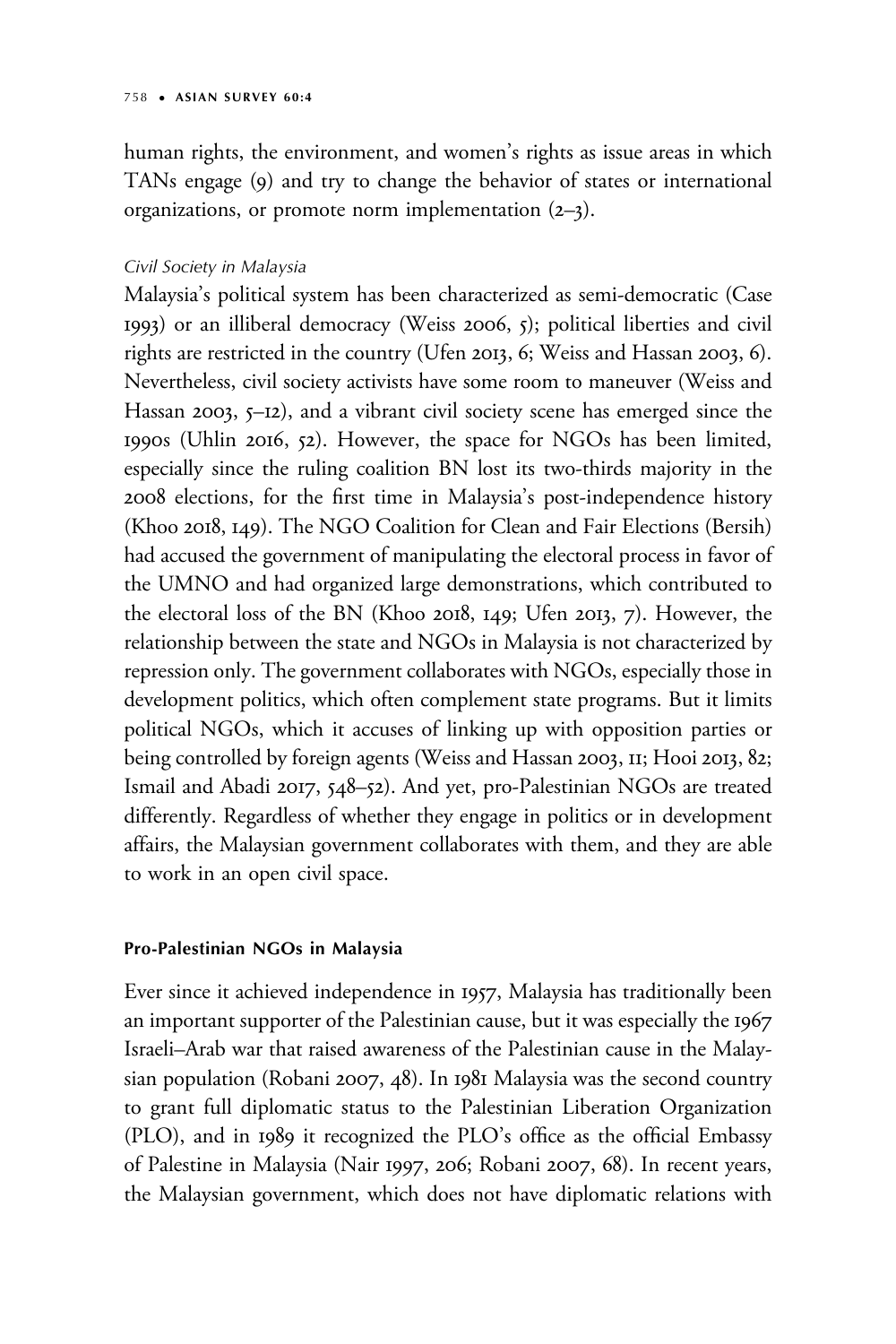human rights, the environment, and women's rights as issue areas in which TANs engage (9) and try to change the behavior of states or international organizations, or promote norm implementation  $(2-3)$ .

#### Civil Society in Malaysia

Malaysia's political system has been characterized as semi-democratic (Case 1993) or an illiberal democracy (Weiss 2006, 5); political liberties and civil rights are restricted in the country (Ufen 2013, 6; Weiss and Hassan 2003, 6). Nevertheless, civil society activists have some room to maneuver (Weiss and Hassan 2003, 5–12), and a vibrant civil society scene has emerged since the 1990s (Uhlin 2016, 52). However, the space for NGOs has been limited, especially since the ruling coalition BN lost its two-thirds majority in the 2008 elections, for the first time in Malaysia's post-independence history (Khoo 2018, 149). The NGO Coalition for Clean and Fair Elections (Bersih) had accused the government of manipulating the electoral process in favor of the UMNO and had organized large demonstrations, which contributed to the electoral loss of the BN (Khoo 2018, 149; Ufen 2013, 7). However, the relationship between the state and NGOs in Malaysia is not characterized by repression only. The government collaborates with NGOs, especially those in development politics, which often complement state programs. But it limits political NGOs, which it accuses of linking up with opposition parties or being controlled by foreign agents (Weiss and Hassan 2003, 11; Hooi 2013, 82; Ismail and Abadi 2017, 548–52). And yet, pro-Palestinian NGOs are treated differently. Regardless of whether they engage in politics or in development affairs, the Malaysian government collaborates with them, and they are able to work in an open civil space.

#### Pro-Palestinian NGOs in Malaysia

Ever since it achieved independence in 1957, Malaysia has traditionally been an important supporter of the Palestinian cause, but it was especially the 1967 Israeli–Arab war that raised awareness of the Palestinian cause in the Malaysian population (Robani 2007, 48). In 1981 Malaysia was the second country to grant full diplomatic status to the Palestinian Liberation Organization (PLO), and in 1989 it recognized the PLO's office as the official Embassy of Palestine in Malaysia (Nair 1997, 206; Robani 2007, 68). In recent years, the Malaysian government, which does not have diplomatic relations with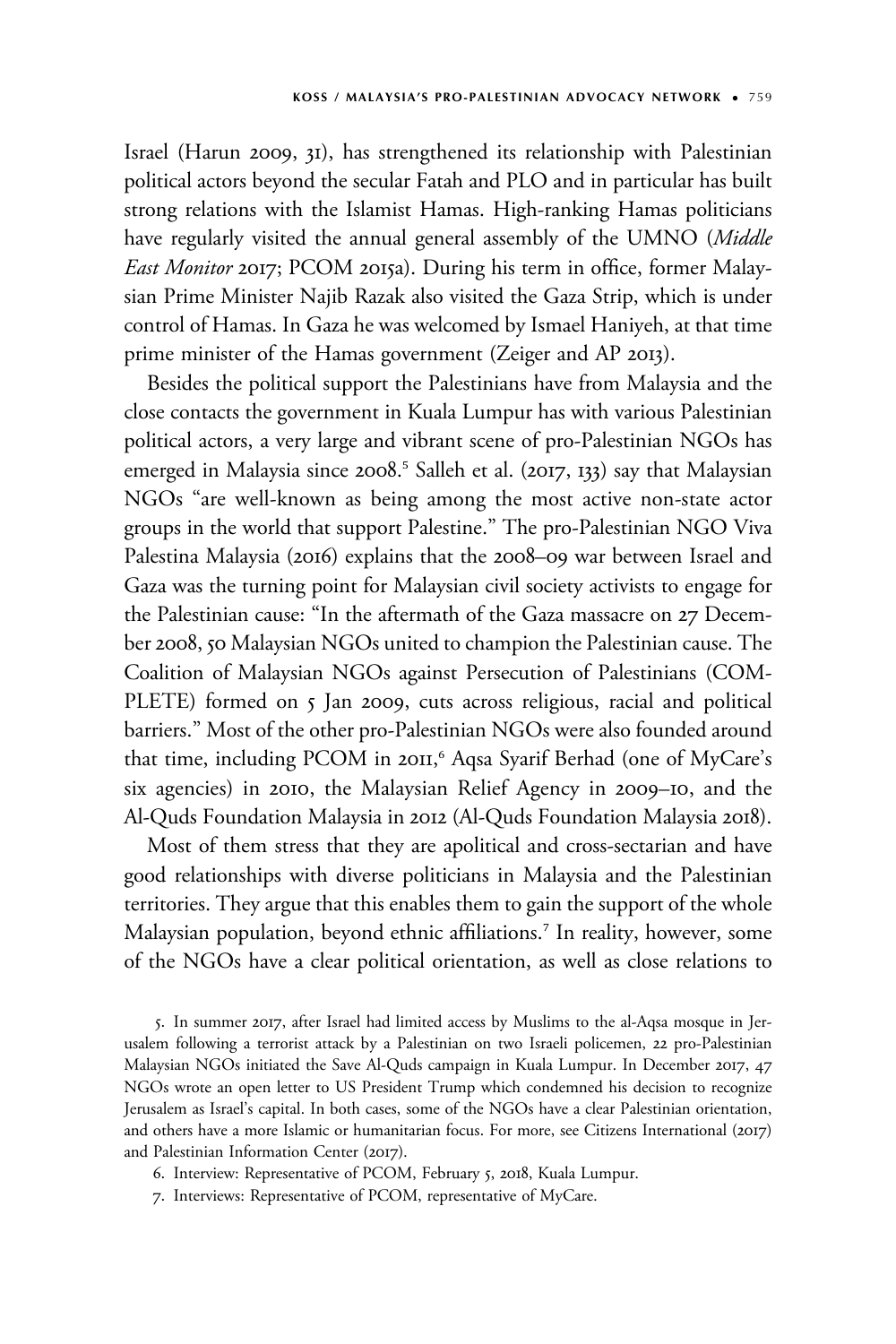Israel (Harun 2009, 31), has strengthened its relationship with Palestinian political actors beyond the secular Fatah and PLO and in particular has built strong relations with the Islamist Hamas. High-ranking Hamas politicians have regularly visited the annual general assembly of the UMNO (Middle East Monitor 2017; PCOM 2015a). During his term in office, former Malaysian Prime Minister Najib Razak also visited the Gaza Strip, which is under control of Hamas. In Gaza he was welcomed by Ismael Haniyeh, at that time prime minister of the Hamas government (Zeiger and AP 2013).

Besides the political support the Palestinians have from Malaysia and the close contacts the government in Kuala Lumpur has with various Palestinian political actors, a very large and vibrant scene of pro-Palestinian NGOs has emerged in Malaysia since 2008. <sup>5</sup> Salleh et al. (2017, 133) say that Malaysian NGOs "are well-known as being among the most active non-state actor groups in the world that support Palestine." The pro-Palestinian NGO Viva Palestina Malaysia (2016) explains that the 2008–09 war between Israel and Gaza was the turning point for Malaysian civil society activists to engage for the Palestinian cause: "In the aftermath of the Gaza massacre on 27 December 2008, 50 Malaysian NGOs united to champion the Palestinian cause. The Coalition of Malaysian NGOs against Persecution of Palestinians (COM-PLETE) formed on 5 Jan 2009, cuts across religious, racial and political barriers." Most of the other pro-Palestinian NGOs were also founded around that time, including PCOM in 2011, <sup>6</sup> Aqsa Syarif Berhad (one of MyCare's six agencies) in 2010, the Malaysian Relief Agency in 2009–10, and the Al-Quds Foundation Malaysia in 2012 (Al-Quds Foundation Malaysia 2018).

Most of them stress that they are apolitical and cross-sectarian and have good relationships with diverse politicians in Malaysia and the Palestinian territories. They argue that this enables them to gain the support of the whole Malaysian population, beyond ethnic affiliations.<sup>7</sup> In reality, however, some of the NGOs have a clear political orientation, as well as close relations to

5. In summer 2017, after Israel had limited access by Muslims to the al-Aqsa mosque in Jerusalem following a terrorist attack by a Palestinian on two Israeli policemen, 22 pro-Palestinian Malaysian NGOs initiated the Save Al-Quds campaign in Kuala Lumpur. In December 2017, 47 NGOs wrote an open letter to US President Trump which condemned his decision to recognize Jerusalem as Israel's capital. In both cases, some of the NGOs have a clear Palestinian orientation, and others have a more Islamic or humanitarian focus. For more, see Citizens International (2017) and Palestinian Information Center (2017).

- 6. Interview: Representative of PCOM, February 5, 2018, Kuala Lumpur.
- 7. Interviews: Representative of PCOM, representative of MyCare.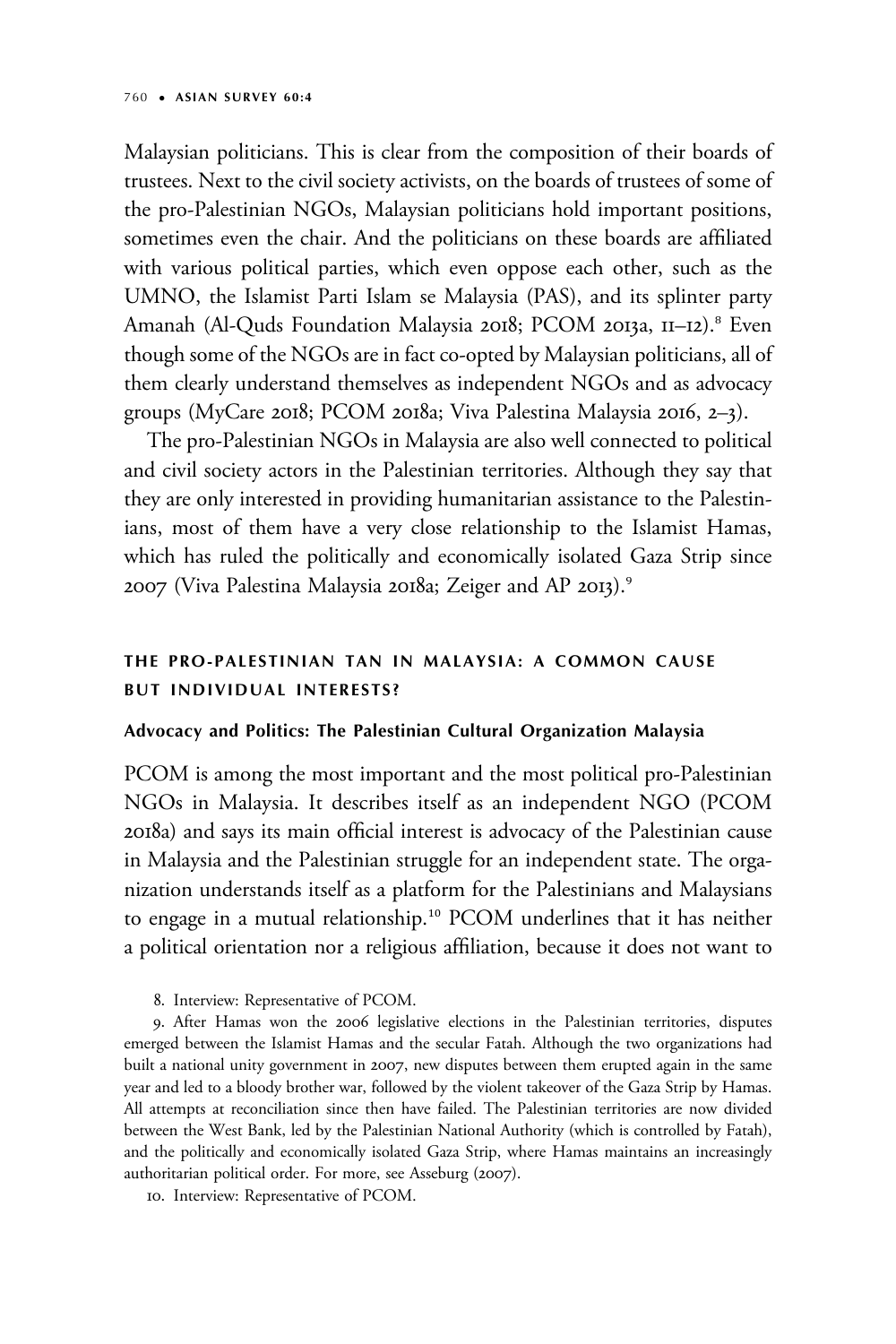Malaysian politicians. This is clear from the composition of their boards of trustees. Next to the civil society activists, on the boards of trustees of some of the pro-Palestinian NGOs, Malaysian politicians hold important positions, sometimes even the chair. And the politicians on these boards are affiliated with various political parties, which even oppose each other, such as the UMNO, the Islamist Parti Islam se Malaysia (PAS), and its splinter party Amanah (Al-Quds Foundation Malaysia 2018; PCOM 2013a, 11-12).<sup>8</sup> Even though some of the NGOs are in fact co-opted by Malaysian politicians, all of them clearly understand themselves as independent NGOs and as advocacy groups (MyCare 2018; PCOM 2018a; Viva Palestina Malaysia 2016, 2–3).

The pro-Palestinian NGOs in Malaysia are also well connected to political and civil society actors in the Palestinian territories. Although they say that they are only interested in providing humanitarian assistance to the Palestinians, most of them have a very close relationship to the Islamist Hamas, which has ruled the politically and economically isolated Gaza Strip since 2007 (Viva Palestina Malaysia 2018a; Zeiger and AP 2013).<sup>9</sup>

### THE PRO-PALESTINIAN TAN IN MALAYSIA: A COMMON CAUSE BUT INDIVIDUAL INTERESTS?

#### Advocacy and Politics: The Palestinian Cultural Organization Malaysia

PCOM is among the most important and the most political pro-Palestinian NGOs in Malaysia. It describes itself as an independent NGO (PCOM 2018a) and says its main official interest is advocacy of the Palestinian cause in Malaysia and the Palestinian struggle for an independent state. The organization understands itself as a platform for the Palestinians and Malaysians to engage in a mutual relationship.<sup>10</sup> PCOM underlines that it has neither a political orientation nor a religious affiliation, because it does not want to

8. Interview: Representative of PCOM.

9. After Hamas won the 2006 legislative elections in the Palestinian territories, disputes emerged between the Islamist Hamas and the secular Fatah. Although the two organizations had built a national unity government in 2007, new disputes between them erupted again in the same year and led to a bloody brother war, followed by the violent takeover of the Gaza Strip by Hamas. All attempts at reconciliation since then have failed. The Palestinian territories are now divided between the West Bank, led by the Palestinian National Authority (which is controlled by Fatah), and the politically and economically isolated Gaza Strip, where Hamas maintains an increasingly authoritarian political order. For more, see Asseburg (2007).

10. Interview: Representative of PCOM.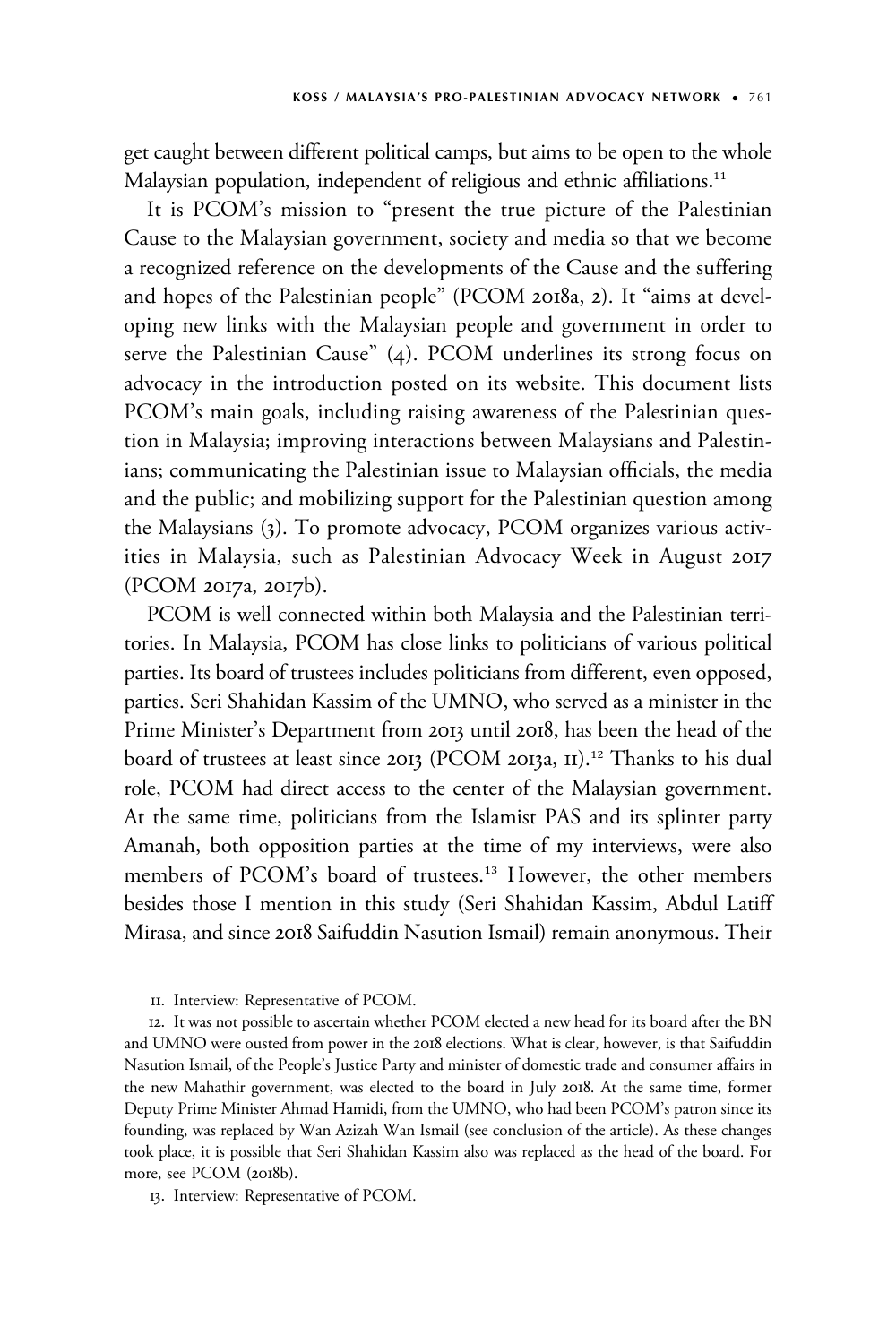get caught between different political camps, but aims to be open to the whole Malaysian population, independent of religious and ethnic affiliations.<sup>11</sup>

It is PCOM's mission to "present the true picture of the Palestinian Cause to the Malaysian government, society and media so that we become a recognized reference on the developments of the Cause and the suffering and hopes of the Palestinian people" (PCOM 2018a, 2). It "aims at developing new links with the Malaysian people and government in order to serve the Palestinian Cause" (4). PCOM underlines its strong focus on advocacy in the introduction posted on its website. This document lists PCOM's main goals, including raising awareness of the Palestinian question in Malaysia; improving interactions between Malaysians and Palestinians; communicating the Palestinian issue to Malaysian officials, the media and the public; and mobilizing support for the Palestinian question among the Malaysians (3). To promote advocacy, PCOM organizes various activities in Malaysia, such as Palestinian Advocacy Week in August 2017 (PCOM 2017a, 2017b).

PCOM is well connected within both Malaysia and the Palestinian territories. In Malaysia, PCOM has close links to politicians of various political parties. Its board of trustees includes politicians from different, even opposed, parties. Seri Shahidan Kassim of the UMNO, who served as a minister in the Prime Minister's Department from 2013 until 2018, has been the head of the board of trustees at least since 2013 (PCOM 2013a, II).<sup>12</sup> Thanks to his dual role, PCOM had direct access to the center of the Malaysian government. At the same time, politicians from the Islamist PAS and its splinter party Amanah, both opposition parties at the time of my interviews, were also members of PCOM's board of trustees.<sup>13</sup> However, the other members besides those I mention in this study (Seri Shahidan Kassim, Abdul Latiff Mirasa, and since 2018 Saifuddin Nasution Ismail) remain anonymous. Their

11. Interview: Representative of PCOM.

12. It was not possible to ascertain whether PCOM elected a new head for its board after the BN and UMNO were ousted from power in the 2018 elections. What is clear, however, is that Saifuddin Nasution Ismail, of the People's Justice Party and minister of domestic trade and consumer affairs in the new Mahathir government, was elected to the board in July 2018. At the same time, former Deputy Prime Minister Ahmad Hamidi, from the UMNO, who had been PCOM's patron since its founding, was replaced by Wan Azizah Wan Ismail (see conclusion of the article). As these changes took place, it is possible that Seri Shahidan Kassim also was replaced as the head of the board. For more, see PCOM (2018b).

13. Interview: Representative of PCOM.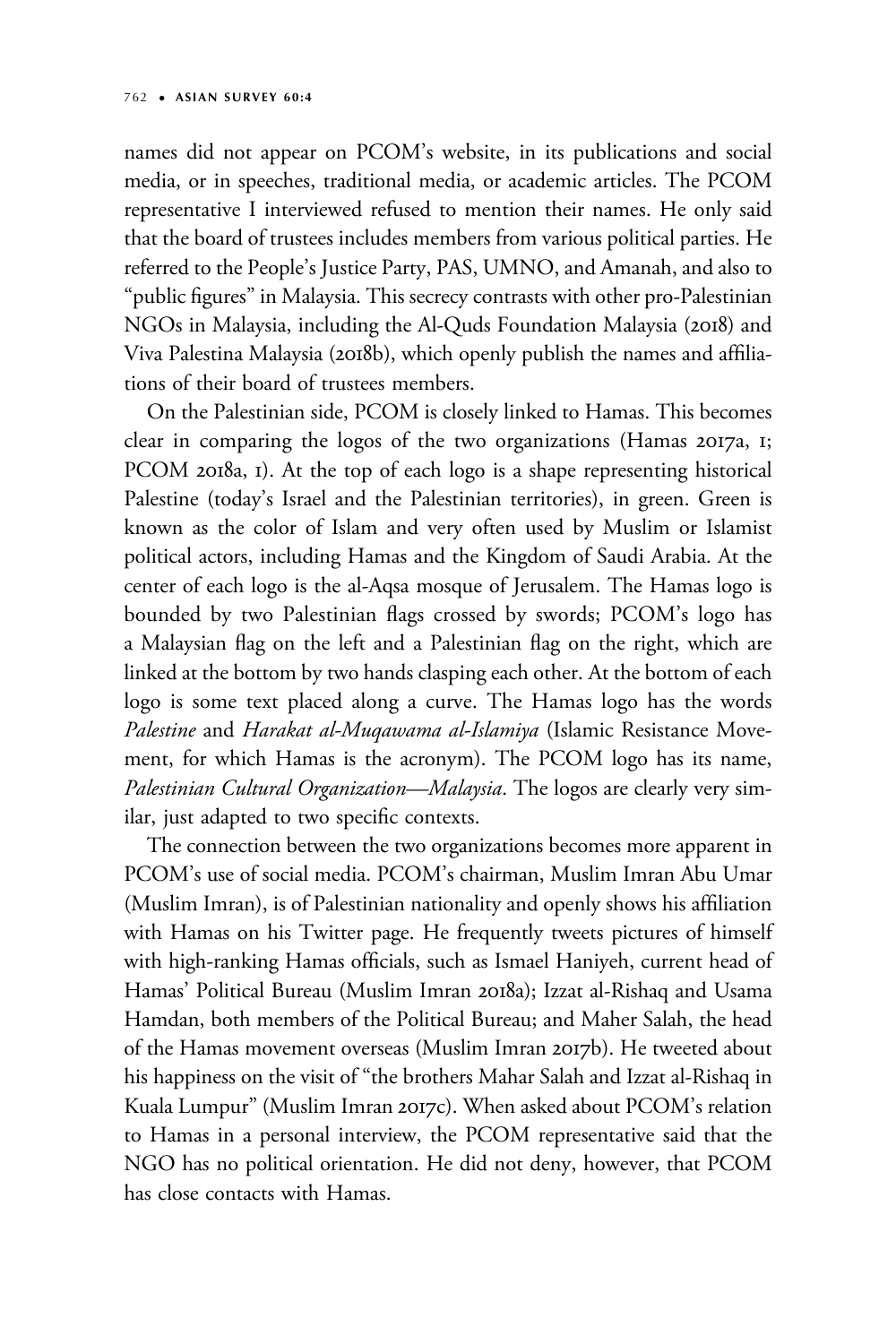names did not appear on PCOM's website, in its publications and social media, or in speeches, traditional media, or academic articles. The PCOM representative I interviewed refused to mention their names. He only said that the board of trustees includes members from various political parties. He referred to the People's Justice Party, PAS, UMNO, and Amanah, and also to "public figures" in Malaysia. This secrecy contrasts with other pro-Palestinian NGOs in Malaysia, including the Al-Quds Foundation Malaysia (2018) and Viva Palestina Malaysia (2018b), which openly publish the names and affiliations of their board of trustees members.

On the Palestinian side, PCOM is closely linked to Hamas. This becomes clear in comparing the logos of the two organizations (Hamas 2017a, 1; PCOM 2018a, 1). At the top of each logo is a shape representing historical Palestine (today's Israel and the Palestinian territories), in green. Green is known as the color of Islam and very often used by Muslim or Islamist political actors, including Hamas and the Kingdom of Saudi Arabia. At the center of each logo is the al-Aqsa mosque of Jerusalem. The Hamas logo is bounded by two Palestinian flags crossed by swords; PCOM's logo has a Malaysian flag on the left and a Palestinian flag on the right, which are linked at the bottom by two hands clasping each other. At the bottom of each logo is some text placed along a curve. The Hamas logo has the words Palestine and Harakat al-Muqawama al-Islamiya (Islamic Resistance Movement, for which Hamas is the acronym). The PCOM logo has its name, Palestinian Cultural Organization—Malaysia. The logos are clearly very similar, just adapted to two specific contexts.

The connection between the two organizations becomes more apparent in PCOM's use of social media. PCOM's chairman, Muslim Imran Abu Umar (Muslim Imran), is of Palestinian nationality and openly shows his affiliation with Hamas on his Twitter page. He frequently tweets pictures of himself with high-ranking Hamas officials, such as Ismael Haniyeh, current head of Hamas' Political Bureau (Muslim Imran 2018a); Izzat al-Rishaq and Usama Hamdan, both members of the Political Bureau; and Maher Salah, the head of the Hamas movement overseas (Muslim Imran 2017b). He tweeted about his happiness on the visit of "the brothers Mahar Salah and Izzat al-Rishaq in Kuala Lumpur" (Muslim Imran 2017c). When asked about PCOM's relation to Hamas in a personal interview, the PCOM representative said that the NGO has no political orientation. He did not deny, however, that PCOM has close contacts with Hamas.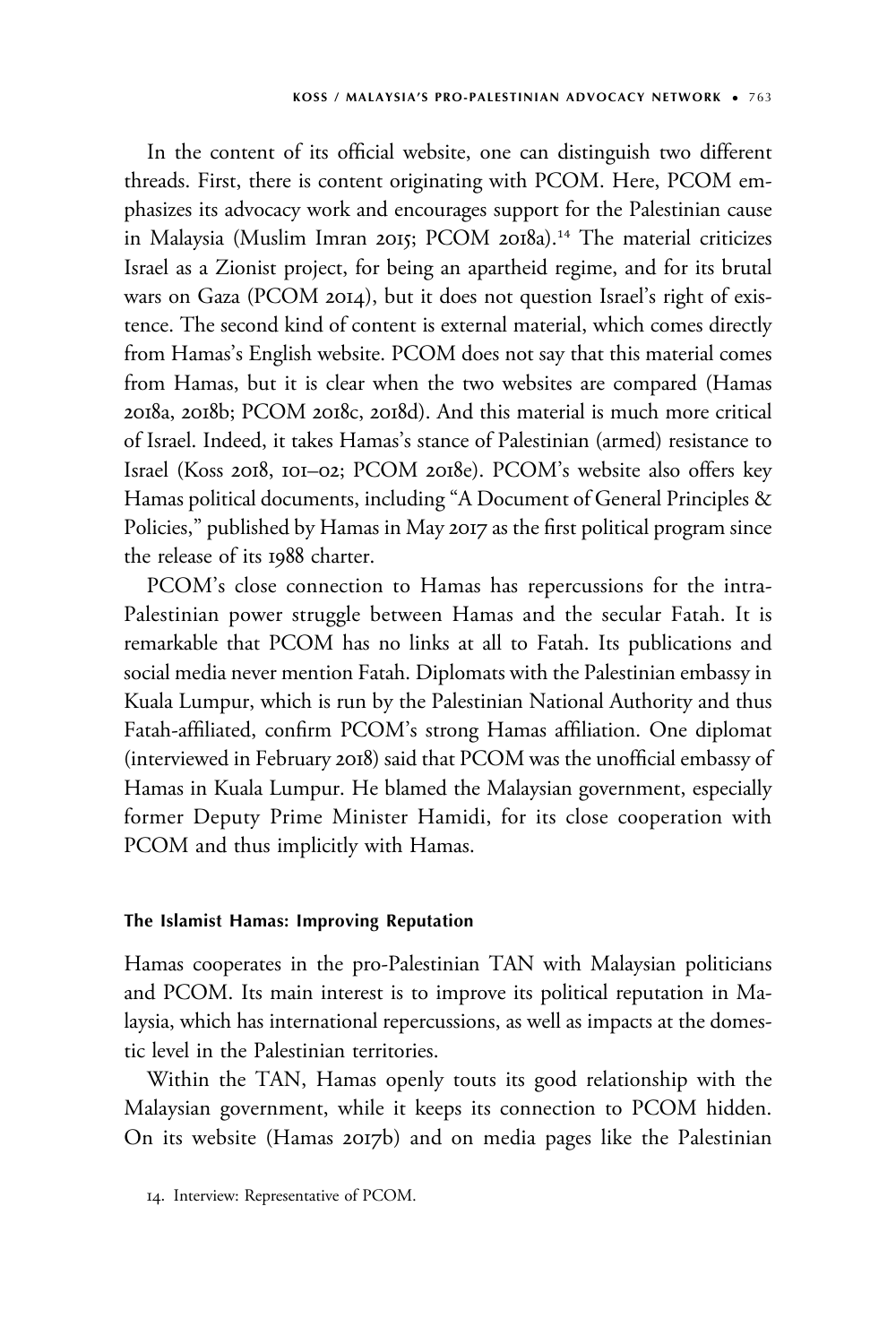In the content of its official website, one can distinguish two different threads. First, there is content originating with PCOM. Here, PCOM emphasizes its advocacy work and encourages support for the Palestinian cause in Malaysia (Muslim Imran 2015; PCOM 2018a).<sup>14</sup> The material criticizes Israel as a Zionist project, for being an apartheid regime, and for its brutal wars on Gaza (PCOM 2014), but it does not question Israel's right of existence. The second kind of content is external material, which comes directly from Hamas's English website. PCOM does not say that this material comes from Hamas, but it is clear when the two websites are compared (Hamas 2018a, 2018b; PCOM 2018c, 2018d). And this material is much more critical of Israel. Indeed, it takes Hamas's stance of Palestinian (armed) resistance to Israel (Koss 2018, 101–02; PCOM 2018e). PCOM's website also offers key Hamas political documents, including "A Document of General Principles & Policies," published by Hamas in May 2017 as the first political program since the release of its 1988 charter.

PCOM's close connection to Hamas has repercussions for the intra-Palestinian power struggle between Hamas and the secular Fatah. It is remarkable that PCOM has no links at all to Fatah. Its publications and social media never mention Fatah. Diplomats with the Palestinian embassy in Kuala Lumpur, which is run by the Palestinian National Authority and thus Fatah-affiliated, confirm PCOM's strong Hamas affiliation. One diplomat (interviewed in February 2018) said that PCOM was the unofficial embassy of Hamas in Kuala Lumpur. He blamed the Malaysian government, especially former Deputy Prime Minister Hamidi, for its close cooperation with PCOM and thus implicitly with Hamas.

#### The Islamist Hamas: Improving Reputation

Hamas cooperates in the pro-Palestinian TAN with Malaysian politicians and PCOM. Its main interest is to improve its political reputation in Malaysia, which has international repercussions, as well as impacts at the domestic level in the Palestinian territories.

Within the TAN, Hamas openly touts its good relationship with the Malaysian government, while it keeps its connection to PCOM hidden. On its website (Hamas 2017b) and on media pages like the Palestinian

<sup>14.</sup> Interview: Representative of PCOM.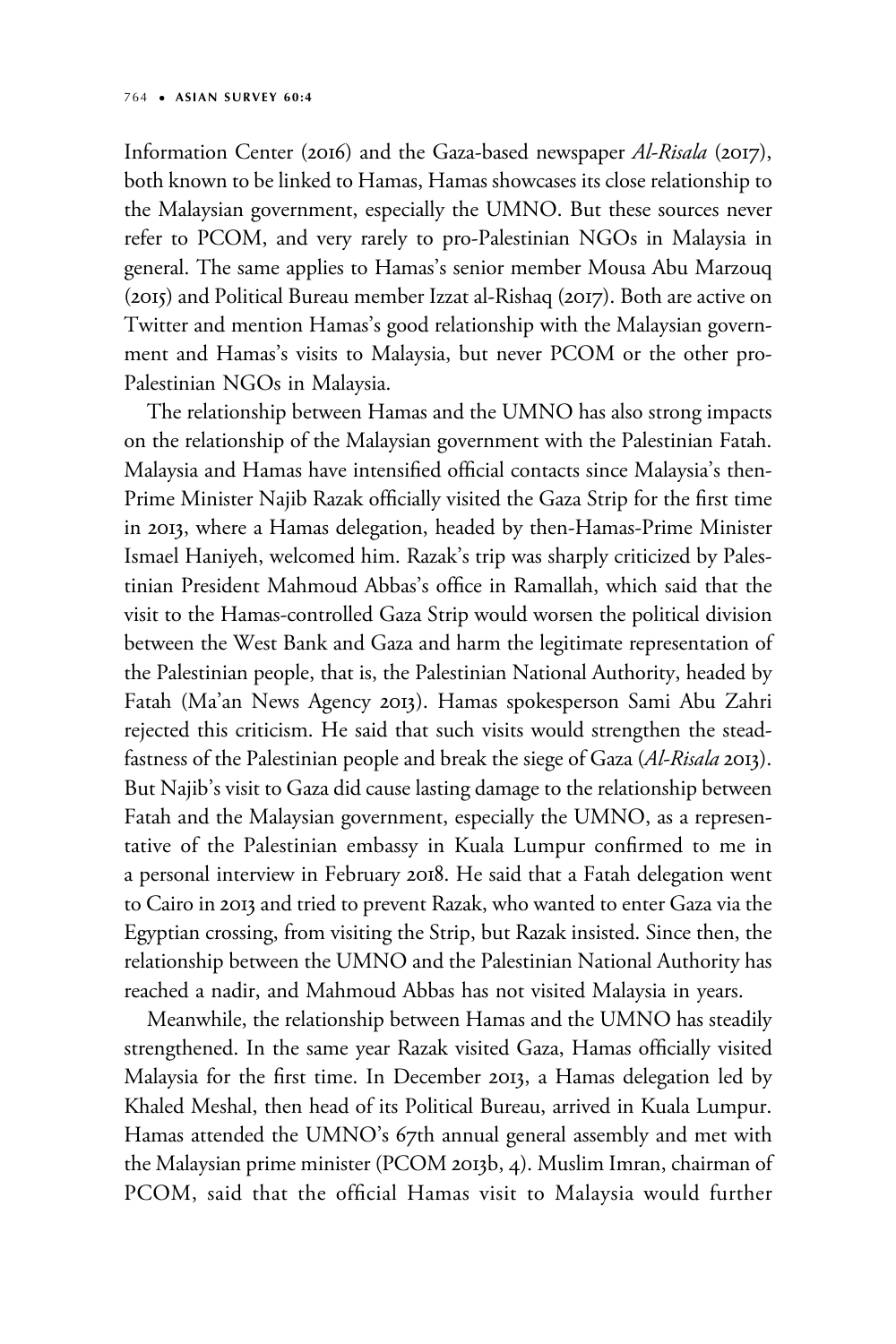Information Center (2016) and the Gaza-based newspaper Al-Risala (2017), both known to be linked to Hamas, Hamas showcases its close relationship to the Malaysian government, especially the UMNO. But these sources never refer to PCOM, and very rarely to pro-Palestinian NGOs in Malaysia in general. The same applies to Hamas's senior member Mousa Abu Marzouq (2015) and Political Bureau member Izzat al-Rishaq (2017). Both are active on Twitter and mention Hamas's good relationship with the Malaysian government and Hamas's visits to Malaysia, but never PCOM or the other pro-Palestinian NGOs in Malaysia.

The relationship between Hamas and the UMNO has also strong impacts on the relationship of the Malaysian government with the Palestinian Fatah. Malaysia and Hamas have intensified official contacts since Malaysia's then-Prime Minister Najib Razak officially visited the Gaza Strip for the first time in 2013, where a Hamas delegation, headed by then-Hamas-Prime Minister Ismael Haniyeh, welcomed him. Razak's trip was sharply criticized by Palestinian President Mahmoud Abbas's office in Ramallah, which said that the visit to the Hamas-controlled Gaza Strip would worsen the political division between the West Bank and Gaza and harm the legitimate representation of the Palestinian people, that is, the Palestinian National Authority, headed by Fatah (Ma'an News Agency 2013). Hamas spokesperson Sami Abu Zahri rejected this criticism. He said that such visits would strengthen the steadfastness of the Palestinian people and break the siege of Gaza (Al-Risala 2013). But Najib's visit to Gaza did cause lasting damage to the relationship between Fatah and the Malaysian government, especially the UMNO, as a representative of the Palestinian embassy in Kuala Lumpur confirmed to me in a personal interview in February 2018. He said that a Fatah delegation went to Cairo in 2013 and tried to prevent Razak, who wanted to enter Gaza via the Egyptian crossing, from visiting the Strip, but Razak insisted. Since then, the relationship between the UMNO and the Palestinian National Authority has reached a nadir, and Mahmoud Abbas has not visited Malaysia in years.

Meanwhile, the relationship between Hamas and the UMNO has steadily strengthened. In the same year Razak visited Gaza, Hamas officially visited Malaysia for the first time. In December 2013, a Hamas delegation led by Khaled Meshal, then head of its Political Bureau, arrived in Kuala Lumpur. Hamas attended the UMNO's 67th annual general assembly and met with the Malaysian prime minister (PCOM 2013b, 4). Muslim Imran, chairman of PCOM, said that the official Hamas visit to Malaysia would further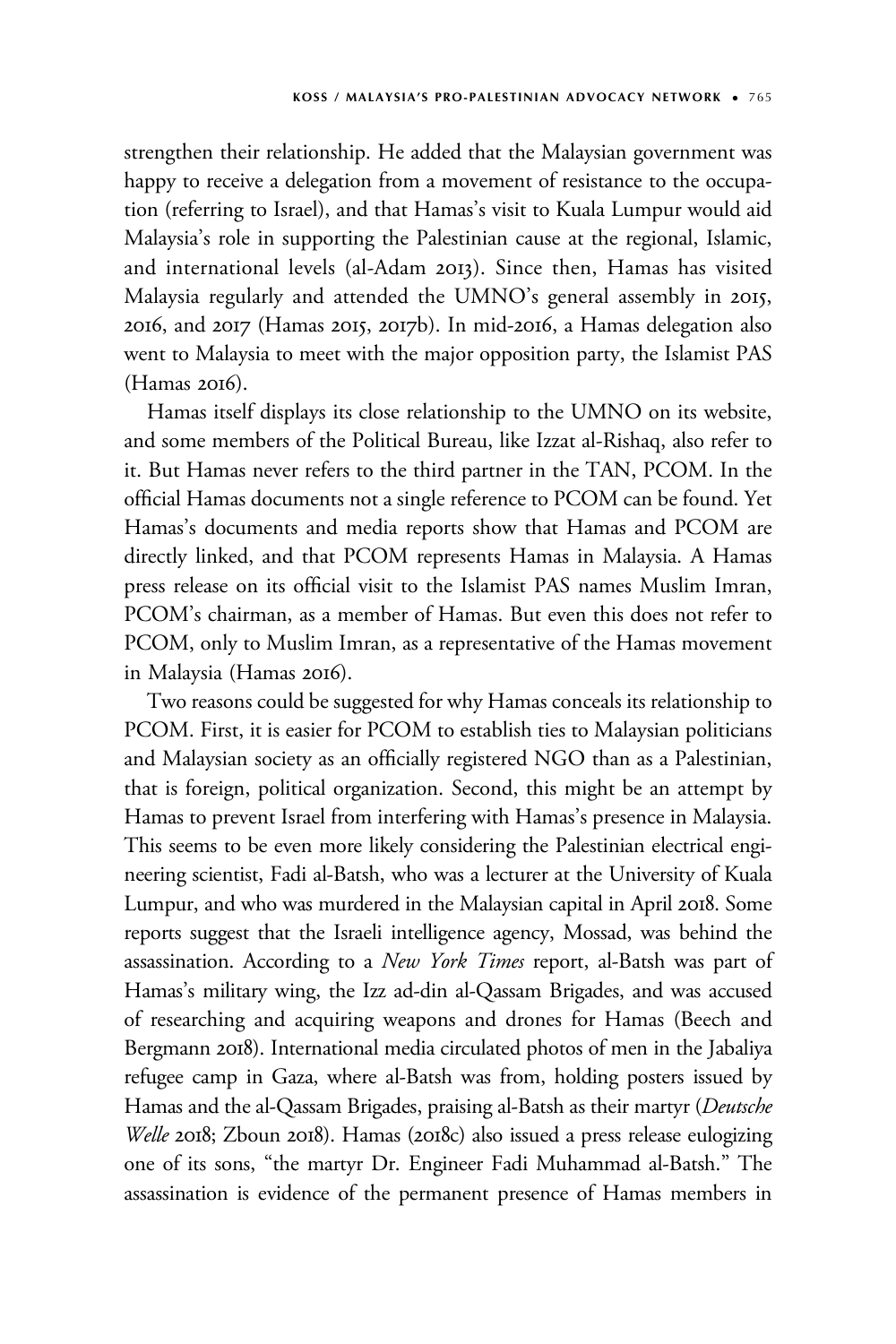strengthen their relationship. He added that the Malaysian government was happy to receive a delegation from a movement of resistance to the occupation (referring to Israel), and that Hamas's visit to Kuala Lumpur would aid Malaysia's role in supporting the Palestinian cause at the regional, Islamic, and international levels (al-Adam 2013). Since then, Hamas has visited Malaysia regularly and attended the UMNO's general assembly in 2015, 2016, and 2017 (Hamas 2015, 2017b). In mid-2016, a Hamas delegation also went to Malaysia to meet with the major opposition party, the Islamist PAS (Hamas 2016).

Hamas itself displays its close relationship to the UMNO on its website, and some members of the Political Bureau, like Izzat al-Rishaq, also refer to it. But Hamas never refers to the third partner in the TAN, PCOM. In the official Hamas documents not a single reference to PCOM can be found. Yet Hamas's documents and media reports show that Hamas and PCOM are directly linked, and that PCOM represents Hamas in Malaysia. A Hamas press release on its official visit to the Islamist PAS names Muslim Imran, PCOM's chairman, as a member of Hamas. But even this does not refer to PCOM, only to Muslim Imran, as a representative of the Hamas movement in Malaysia (Hamas 2016).

Two reasons could be suggested for why Hamas conceals its relationship to PCOM. First, it is easier for PCOM to establish ties to Malaysian politicians and Malaysian society as an officially registered NGO than as a Palestinian, that is foreign, political organization. Second, this might be an attempt by Hamas to prevent Israel from interfering with Hamas's presence in Malaysia. This seems to be even more likely considering the Palestinian electrical engineering scientist, Fadi al-Batsh, who was a lecturer at the University of Kuala Lumpur, and who was murdered in the Malaysian capital in April 2018. Some reports suggest that the Israeli intelligence agency, Mossad, was behind the assassination. According to a New York Times report, al-Batsh was part of Hamas's military wing, the Izz ad-din al-Qassam Brigades, and was accused of researching and acquiring weapons and drones for Hamas (Beech and Bergmann 2018). International media circulated photos of men in the Jabaliya refugee camp in Gaza, where al-Batsh was from, holding posters issued by Hamas and the al-Qassam Brigades, praising al-Batsh as their martyr (Deutsche Welle 2018; Zboun 2018). Hamas (2018c) also issued a press release eulogizing one of its sons, "the martyr Dr. Engineer Fadi Muhammad al-Batsh." The assassination is evidence of the permanent presence of Hamas members in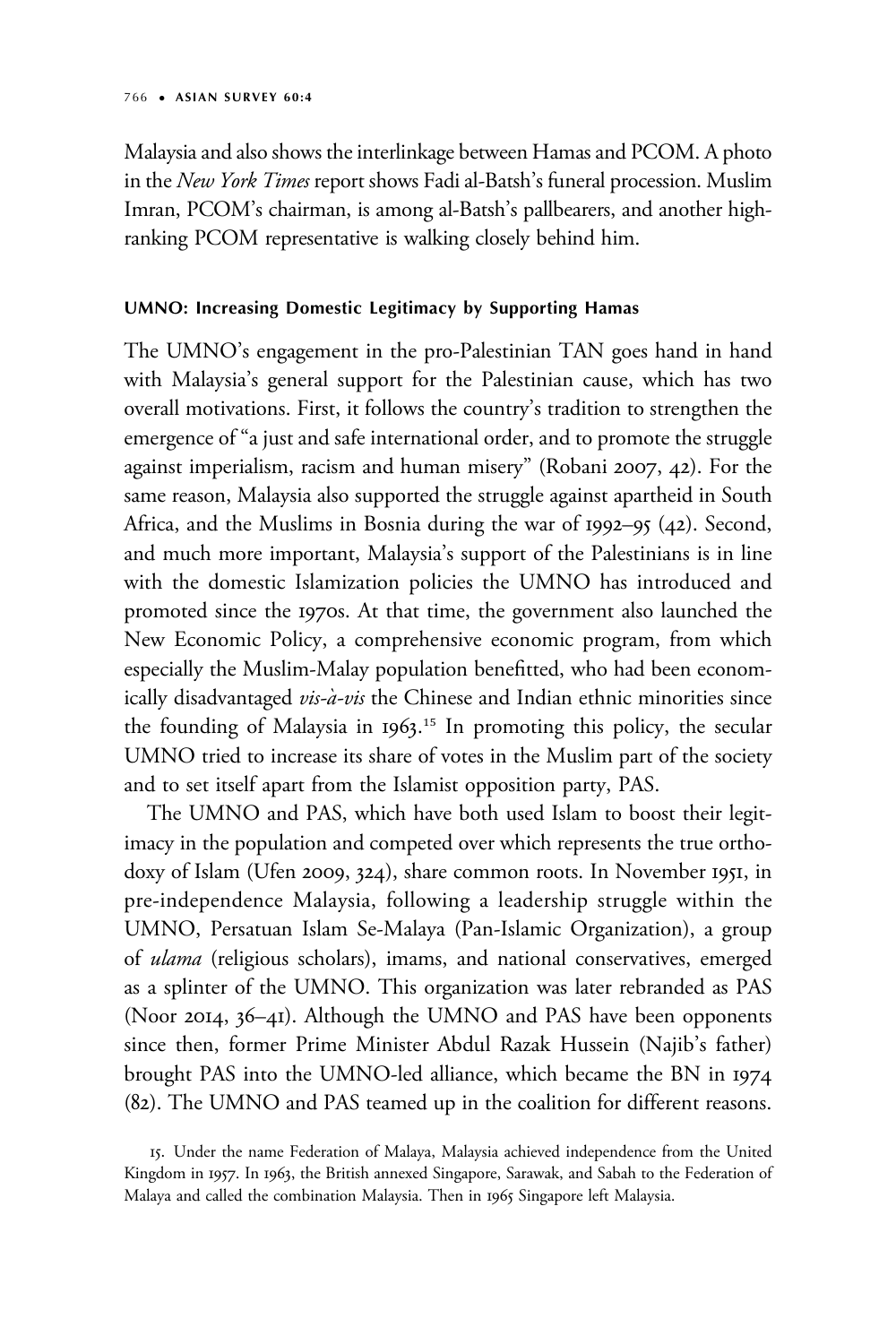Malaysia and also shows the interlinkage between Hamas and PCOM. A photo in the New York Times report shows Fadi al-Batsh's funeral procession. Muslim Imran, PCOM's chairman, is among al-Batsh's pallbearers, and another highranking PCOM representative is walking closely behind him.

#### UMNO: Increasing Domestic Legitimacy by Supporting Hamas

The UMNO's engagement in the pro-Palestinian TAN goes hand in hand with Malaysia's general support for the Palestinian cause, which has two overall motivations. First, it follows the country's tradition to strengthen the emergence of "a just and safe international order, and to promote the struggle against imperialism, racism and human misery" (Robani 2007, 42). For the same reason, Malaysia also supported the struggle against apartheid in South Africa, and the Muslims in Bosnia during the war of 1992–95 (42). Second, and much more important, Malaysia's support of the Palestinians is in line with the domestic Islamization policies the UMNO has introduced and promoted since the 1970s. At that time, the government also launched the New Economic Policy, a comprehensive economic program, from which especially the Muslim-Malay population benefitted, who had been economically disadvantaged vis-à-vis the Chinese and Indian ethnic minorities since the founding of Malaysia in 1963. <sup>15</sup> In promoting this policy, the secular UMNO tried to increase its share of votes in the Muslim part of the society and to set itself apart from the Islamist opposition party, PAS.

The UMNO and PAS, which have both used Islam to boost their legitimacy in the population and competed over which represents the true orthodoxy of Islam (Ufen 2009, 324), share common roots. In November 1951, in pre-independence Malaysia, following a leadership struggle within the UMNO, Persatuan Islam Se-Malaya (Pan-Islamic Organization), a group of ulama (religious scholars), imams, and national conservatives, emerged as a splinter of the UMNO. This organization was later rebranded as PAS (Noor 2014, 36–41). Although the UMNO and PAS have been opponents since then, former Prime Minister Abdul Razak Hussein (Najib's father) brought PAS into the UMNO-led alliance, which became the BN in 1974 (82). The UMNO and PAS teamed up in the coalition for different reasons.

<sup>15.</sup> Under the name Federation of Malaya, Malaysia achieved independence from the United Kingdom in 1957. In 1963, the British annexed Singapore, Sarawak, and Sabah to the Federation of Malaya and called the combination Malaysia. Then in 1965 Singapore left Malaysia.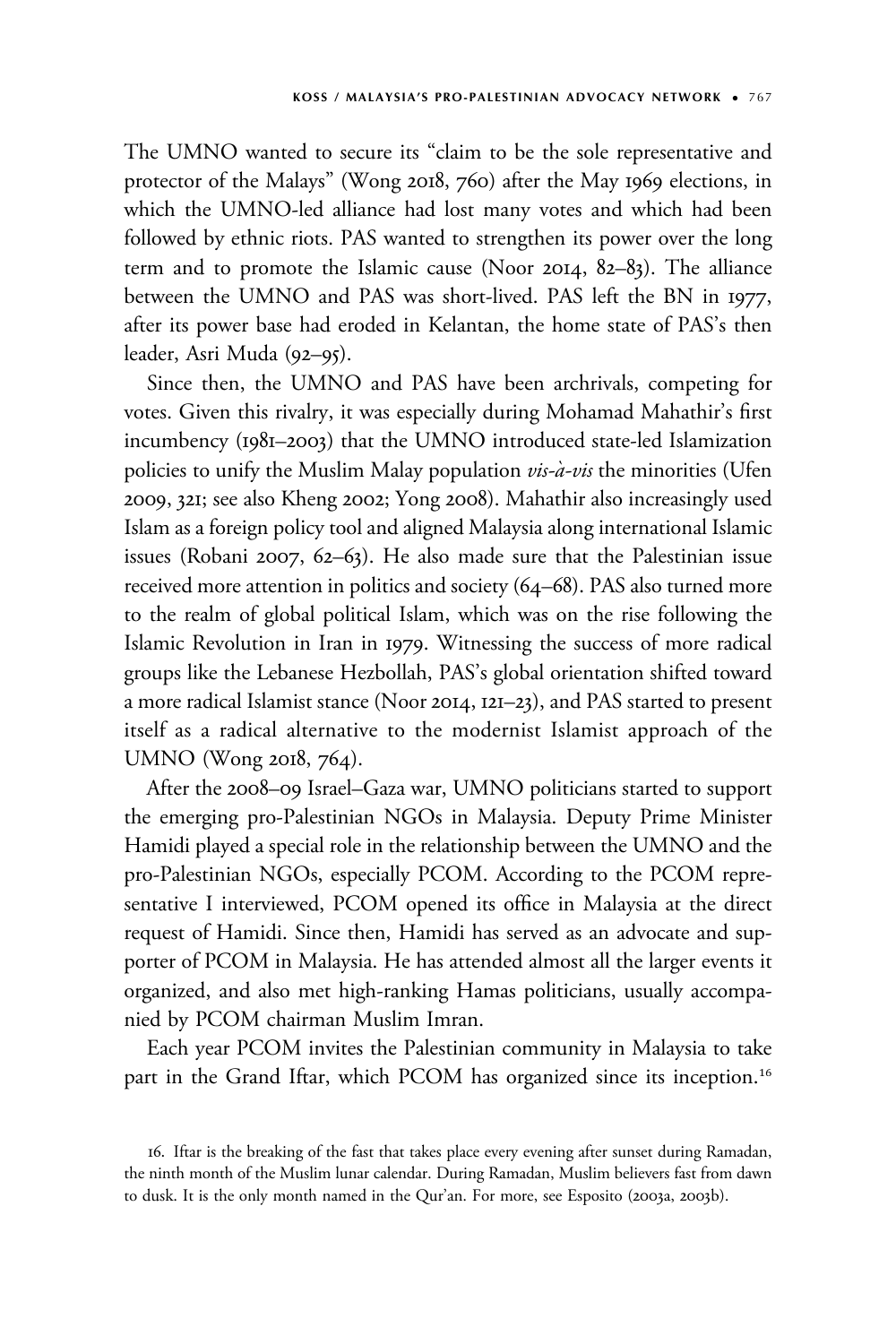The UMNO wanted to secure its "claim to be the sole representative and protector of the Malays" (Wong 2018, 760) after the May 1969 elections, in which the UMNO-led alliance had lost many votes and which had been followed by ethnic riots. PAS wanted to strengthen its power over the long term and to promote the Islamic cause (Noor 2014, 82–83). The alliance between the UMNO and PAS was short-lived. PAS left the BN in 1977, after its power base had eroded in Kelantan, the home state of PAS's then leader, Asri Muda (92–95).

Since then, the UMNO and PAS have been archrivals, competing for votes. Given this rivalry, it was especially during Mohamad Mahathir's first incumbency (1981–2003) that the UMNO introduced state-led Islamization policies to unify the Muslim Malay population  $vis-a-vis$  the minorities (Ufen 2009, 321; see also Kheng 2002; Yong 2008). Mahathir also increasingly used Islam as a foreign policy tool and aligned Malaysia along international Islamic issues (Robani 2007, 62–63). He also made sure that the Palestinian issue received more attention in politics and society (64–68). PAS also turned more to the realm of global political Islam, which was on the rise following the Islamic Revolution in Iran in 1979. Witnessing the success of more radical groups like the Lebanese Hezbollah, PAS's global orientation shifted toward a more radical Islamist stance (Noor 2014, 121–23), and PAS started to present itself as a radical alternative to the modernist Islamist approach of the UMNO (Wong 2018, 764).

After the 2008–09 Israel–Gaza war, UMNO politicians started to support the emerging pro-Palestinian NGOs in Malaysia. Deputy Prime Minister Hamidi played a special role in the relationship between the UMNO and the pro-Palestinian NGOs, especially PCOM. According to the PCOM representative I interviewed, PCOM opened its office in Malaysia at the direct request of Hamidi. Since then, Hamidi has served as an advocate and supporter of PCOM in Malaysia. He has attended almost all the larger events it organized, and also met high-ranking Hamas politicians, usually accompanied by PCOM chairman Muslim Imran.

Each year PCOM invites the Palestinian community in Malaysia to take part in the Grand Iftar, which PCOM has organized since its inception.<sup>16</sup>

<sup>16.</sup> Iftar is the breaking of the fast that takes place every evening after sunset during Ramadan, the ninth month of the Muslim lunar calendar. During Ramadan, Muslim believers fast from dawn to dusk. It is the only month named in the Qur'an. For more, see Esposito (2003a, 2003b).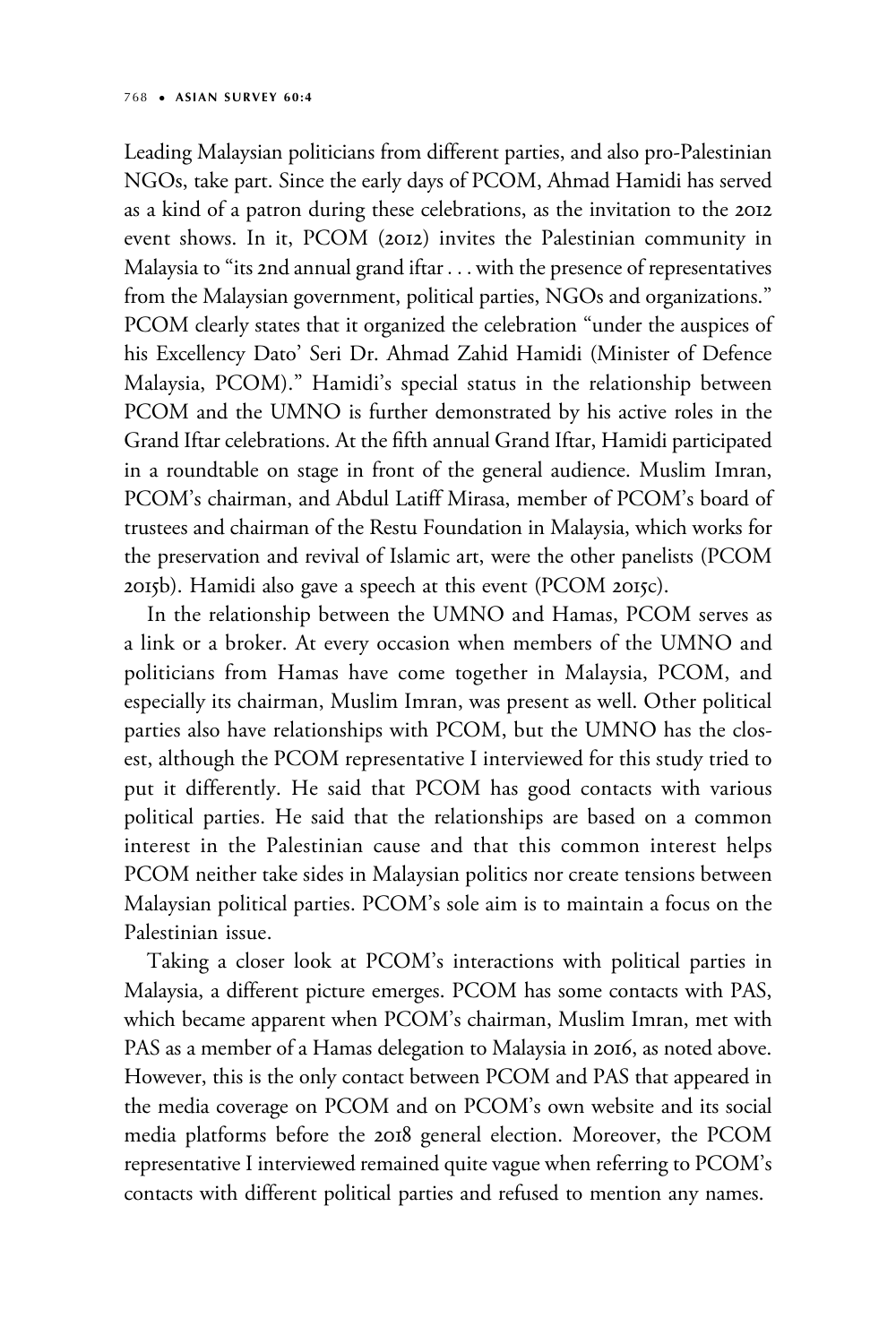Leading Malaysian politicians from different parties, and also pro-Palestinian NGOs, take part. Since the early days of PCOM, Ahmad Hamidi has served as a kind of a patron during these celebrations, as the invitation to the 2012 event shows. In it, PCOM (2012) invites the Palestinian community in Malaysia to "its 2nd annual grand iftar ... with the presence of representatives from the Malaysian government, political parties, NGOs and organizations." PCOM clearly states that it organized the celebration "under the auspices of his Excellency Dato' Seri Dr. Ahmad Zahid Hamidi (Minister of Defence Malaysia, PCOM)." Hamidi's special status in the relationship between PCOM and the UMNO is further demonstrated by his active roles in the Grand Iftar celebrations. At the fifth annual Grand Iftar, Hamidi participated in a roundtable on stage in front of the general audience. Muslim Imran, PCOM's chairman, and Abdul Latiff Mirasa, member of PCOM's board of trustees and chairman of the Restu Foundation in Malaysia, which works for the preservation and revival of Islamic art, were the other panelists (PCOM 2015b). Hamidi also gave a speech at this event (PCOM 2015c).

In the relationship between the UMNO and Hamas, PCOM serves as a link or a broker. At every occasion when members of the UMNO and politicians from Hamas have come together in Malaysia, PCOM, and especially its chairman, Muslim Imran, was present as well. Other political parties also have relationships with PCOM, but the UMNO has the closest, although the PCOM representative I interviewed for this study tried to put it differently. He said that PCOM has good contacts with various political parties. He said that the relationships are based on a common interest in the Palestinian cause and that this common interest helps PCOM neither take sides in Malaysian politics nor create tensions between Malaysian political parties. PCOM's sole aim is to maintain a focus on the Palestinian issue.

Taking a closer look at PCOM's interactions with political parties in Malaysia, a different picture emerges. PCOM has some contacts with PAS, which became apparent when PCOM's chairman, Muslim Imran, met with PAS as a member of a Hamas delegation to Malaysia in 2016, as noted above. However, this is the only contact between PCOM and PAS that appeared in the media coverage on PCOM and on PCOM's own website and its social media platforms before the 2018 general election. Moreover, the PCOM representative I interviewed remained quite vague when referring to PCOM's contacts with different political parties and refused to mention any names.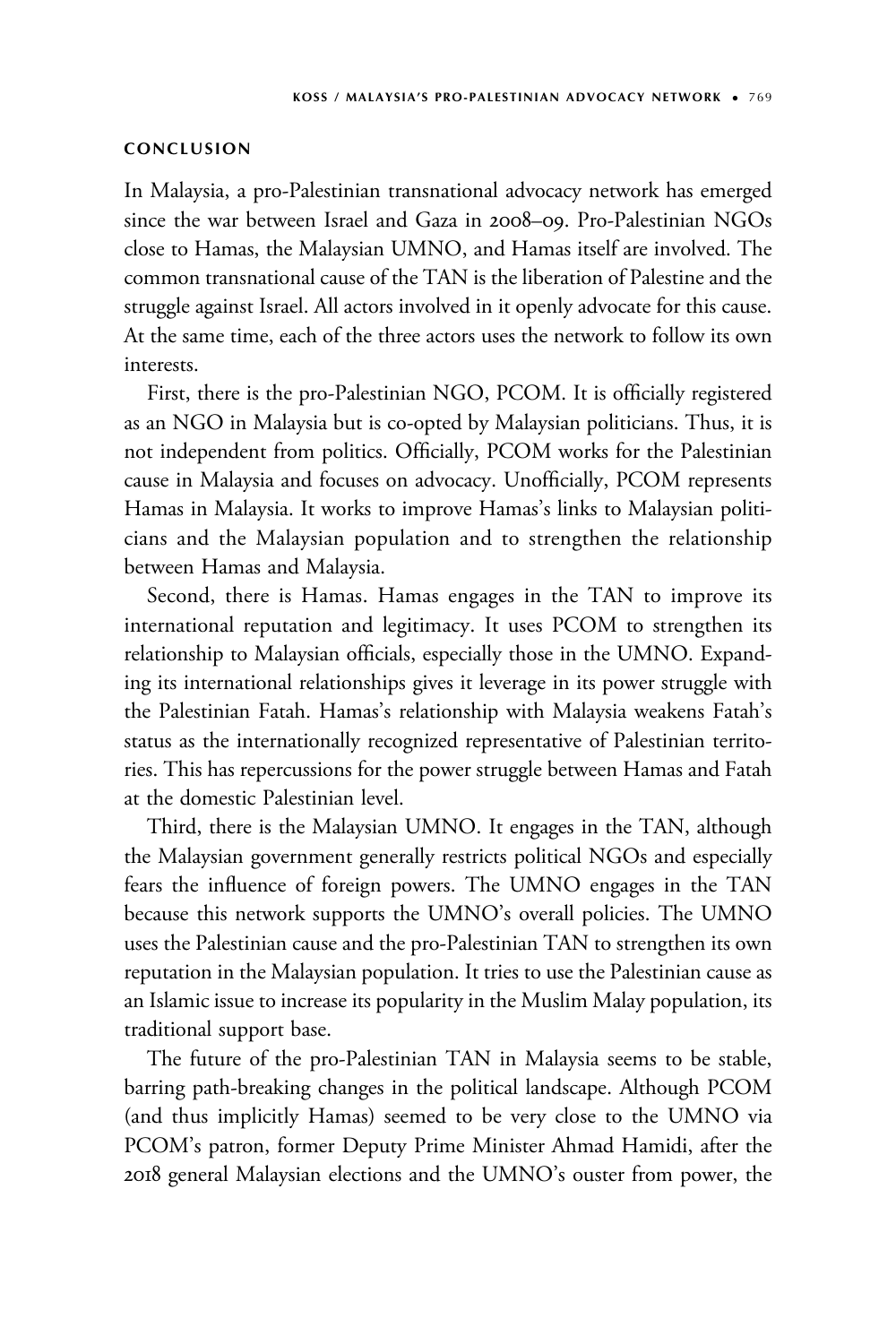#### CONCLUSION

In Malaysia, a pro-Palestinian transnational advocacy network has emerged since the war between Israel and Gaza in 2008–09. Pro-Palestinian NGOs close to Hamas, the Malaysian UMNO, and Hamas itself are involved. The common transnational cause of the TAN is the liberation of Palestine and the struggle against Israel. All actors involved in it openly advocate for this cause. At the same time, each of the three actors uses the network to follow its own interests.

First, there is the pro-Palestinian NGO, PCOM. It is officially registered as an NGO in Malaysia but is co-opted by Malaysian politicians. Thus, it is not independent from politics. Officially, PCOM works for the Palestinian cause in Malaysia and focuses on advocacy. Unofficially, PCOM represents Hamas in Malaysia. It works to improve Hamas's links to Malaysian politicians and the Malaysian population and to strengthen the relationship between Hamas and Malaysia.

Second, there is Hamas. Hamas engages in the TAN to improve its international reputation and legitimacy. It uses PCOM to strengthen its relationship to Malaysian officials, especially those in the UMNO. Expanding its international relationships gives it leverage in its power struggle with the Palestinian Fatah. Hamas's relationship with Malaysia weakens Fatah's status as the internationally recognized representative of Palestinian territories. This has repercussions for the power struggle between Hamas and Fatah at the domestic Palestinian level.

Third, there is the Malaysian UMNO. It engages in the TAN, although the Malaysian government generally restricts political NGOs and especially fears the influence of foreign powers. The UMNO engages in the TAN because this network supports the UMNO's overall policies. The UMNO uses the Palestinian cause and the pro-Palestinian TAN to strengthen its own reputation in the Malaysian population. It tries to use the Palestinian cause as an Islamic issue to increase its popularity in the Muslim Malay population, its traditional support base.

The future of the pro-Palestinian TAN in Malaysia seems to be stable, barring path-breaking changes in the political landscape. Although PCOM (and thus implicitly Hamas) seemed to be very close to the UMNO via PCOM's patron, former Deputy Prime Minister Ahmad Hamidi, after the 2018 general Malaysian elections and the UMNO's ouster from power, the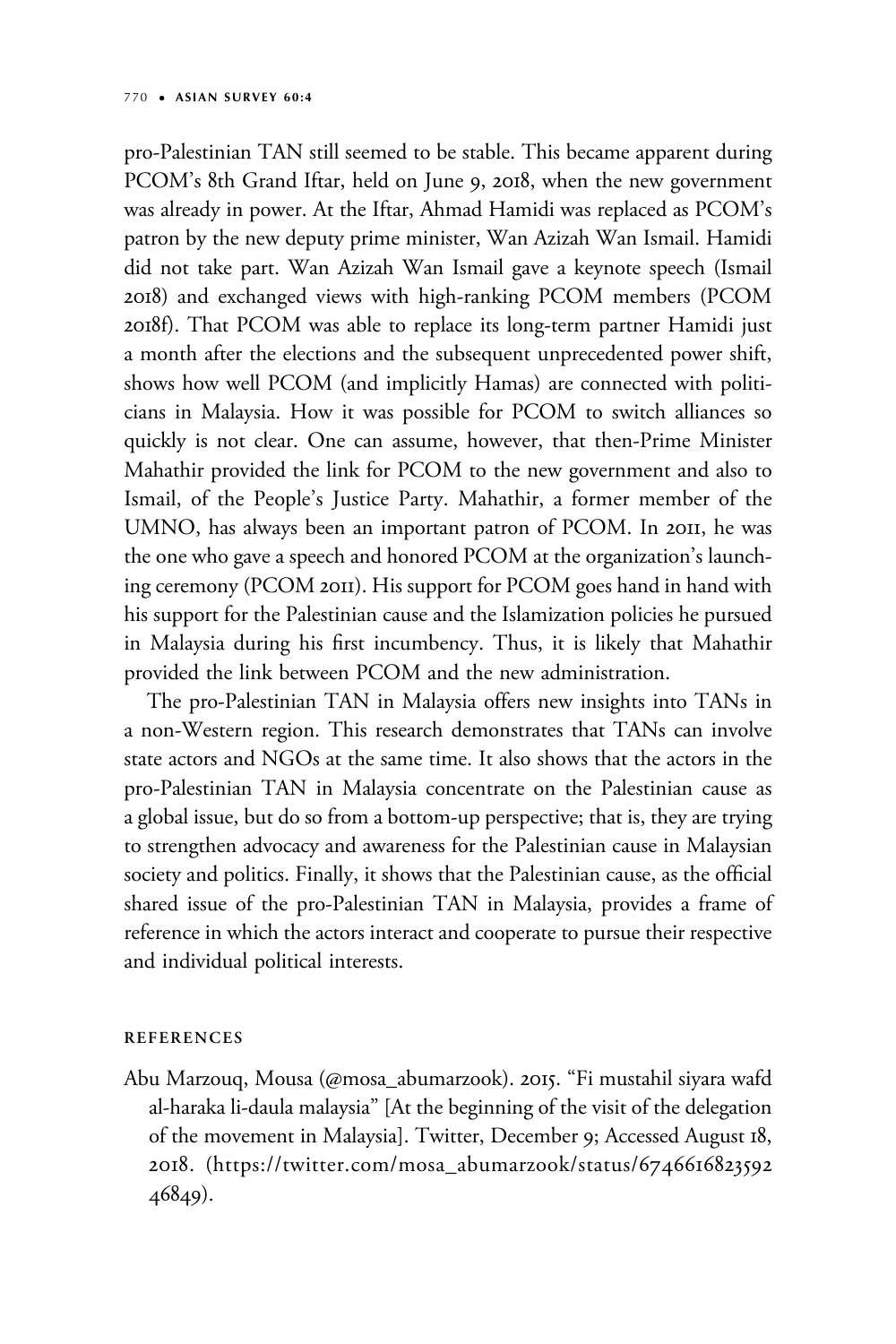pro-Palestinian TAN still seemed to be stable. This became apparent during PCOM's 8th Grand Iftar, held on June 9, 2018, when the new government was already in power. At the Iftar, Ahmad Hamidi was replaced as PCOM's patron by the new deputy prime minister, Wan Azizah Wan Ismail. Hamidi did not take part. Wan Azizah Wan Ismail gave a keynote speech (Ismail 2018) and exchanged views with high-ranking PCOM members (PCOM 2018f). That PCOM was able to replace its long-term partner Hamidi just a month after the elections and the subsequent unprecedented power shift, shows how well PCOM (and implicitly Hamas) are connected with politicians in Malaysia. How it was possible for PCOM to switch alliances so quickly is not clear. One can assume, however, that then-Prime Minister Mahathir provided the link for PCOM to the new government and also to Ismail, of the People's Justice Party. Mahathir, a former member of the UMNO, has always been an important patron of PCOM. In 2011, he was the one who gave a speech and honored PCOM at the organization's launching ceremony (PCOM 2011). His support for PCOM goes hand in hand with his support for the Palestinian cause and the Islamization policies he pursued in Malaysia during his first incumbency. Thus, it is likely that Mahathir provided the link between PCOM and the new administration.

The pro-Palestinian TAN in Malaysia offers new insights into TANs in a non-Western region. This research demonstrates that TANs can involve state actors and NGOs at the same time. It also shows that the actors in the pro-Palestinian TAN in Malaysia concentrate on the Palestinian cause as a global issue, but do so from a bottom-up perspective; that is, they are trying to strengthen advocacy and awareness for the Palestinian cause in Malaysian society and politics. Finally, it shows that the Palestinian cause, as the official shared issue of the pro-Palestinian TAN in Malaysia, provides a frame of reference in which the actors interact and cooperate to pursue their respective and individual political interests.

#### REFERENCES

Abu Marzouq, Mousa (@mosa\_abumarzook). 2015. "Fi mustahil siyara wafd al-haraka li-daula malaysia" [At the beginning of the visit of the delegation of the movement in Malaysia]. Twitter, December 9; Accessed August 18, 2018. ([https://twitter.com/mosa\\_abumarzook/status/](https://twitter.com/mosa_abumarzook/status/674661682359246849)6746616823592 [46849](https://twitter.com/mosa_abumarzook/status/674661682359246849)).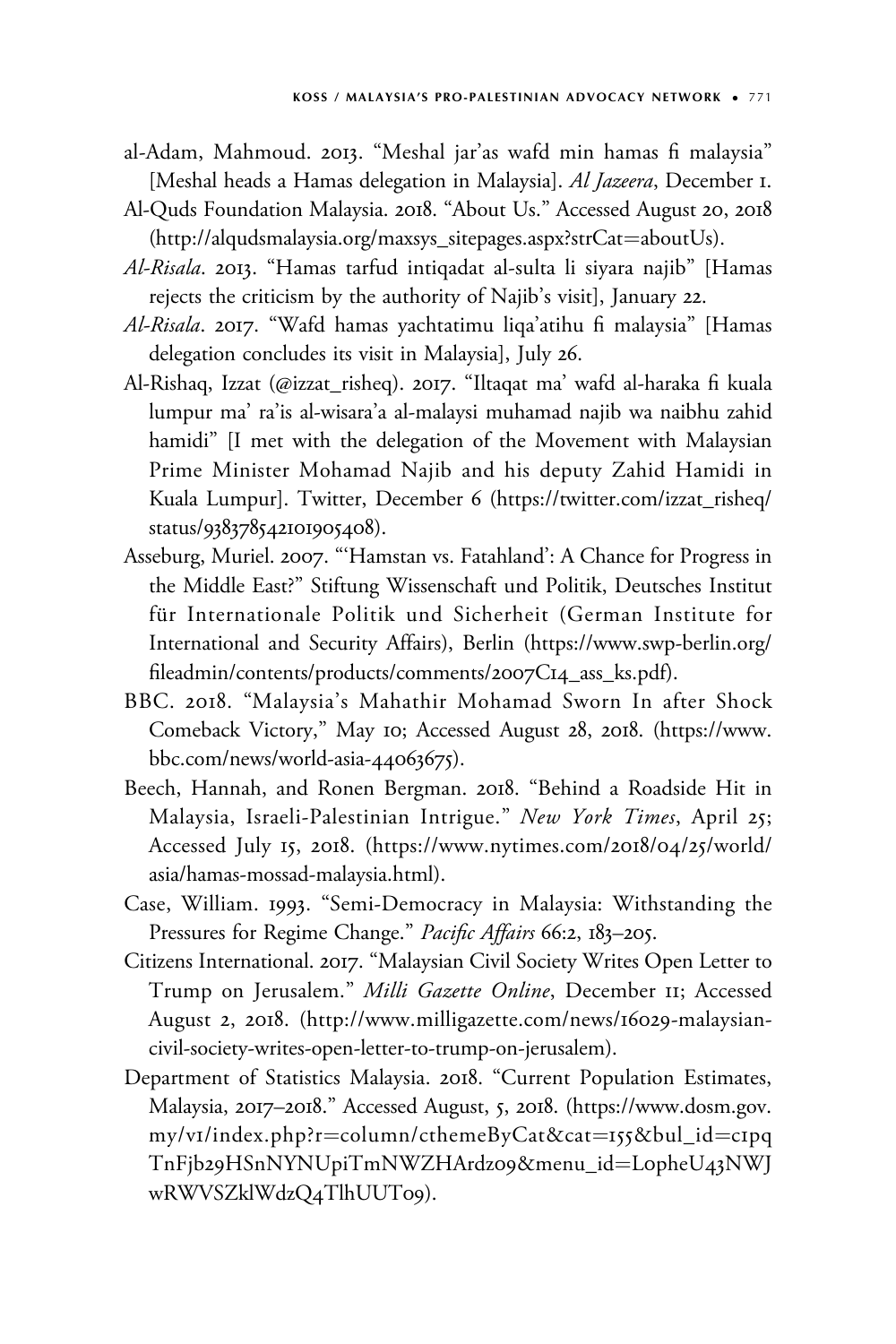- al-Adam, Mahmoud. 2013. "Meshal jar'as wafd min hamas fi malaysia" [Meshal heads a Hamas delegation in Malaysia]. Al Jazeera, December 1.
- Al-Quds Foundation Malaysia. 2018. "About Us." Accessed August 20, 2018 [\(http://alqudsmalaysia.org/maxsys\\_sitepages.aspx?strCat](http://alqudsmalaysia.org/maxsys_sitepages.aspx?strCat=aboutUs)=[aboutUs\)](http://alqudsmalaysia.org/maxsys_sitepages.aspx?strCat=aboutUs).
- Al-Risala. 2013. "Hamas tarfud intiqadat al-sulta li siyara najib" [Hamas rejects the criticism by the authority of Najib's visit], January 22.
- Al-Risala. 2017. "Wafd hamas yachtatimu liqa'atihu fi malaysia" [Hamas delegation concludes its visit in Malaysia], July 26.
- Al-Rishaq, Izzat (@izzat\_risheq). 2017. "Iltaqat ma' wafd al-haraka fi kuala lumpur ma' ra'is al-wisara'a al-malaysi muhamad najib wa naibhu zahid hamidi" [I met with the delegation of the Movement with Malaysian Prime Minister Mohamad Najib and his deputy Zahid Hamidi in Kuala Lumpur]. Twitter, December 6 [\(https://twitter.com/izzat\\_risheq/](https://twitter.com/izzat_risheq/status/938378542101905408) status/[938378542101905408](https://twitter.com/izzat_risheq/status/938378542101905408)).
- Asseburg, Muriel. 2007. "'Hamstan vs. Fatahland': A Chance for Progress in the Middle East?" Stiftung Wissenschaft und Politik, Deutsches Institut für Internationale Politik und Sicherheit (German Institute for International and Security Affairs), Berlin ([https://www.swp-berlin.org/](https://www.swp-berlin.org/fileadmin/contents/products/comments/2007C14_ass_ks.pdf) [fileadmin/contents/products/comments/](https://www.swp-berlin.org/fileadmin/contents/products/comments/2007C14_ass_ks.pdf)2007C14\_ass\_ks.pdf).
- BBC. 2018. "Malaysia's Mahathir Mohamad Sworn In after Shock Comeback Victory," May 10; Accessed August 28, 2018. [\(https://www.](https://www.bbc.com/news/world-asia-44063675) [bbc.com/news/world-asia-](https://www.bbc.com/news/world-asia-44063675)44063675).
- Beech, Hannah, and Ronen Bergman. 2018. "Behind a Roadside Hit in Malaysia, Israeli-Palestinian Intrigue." New York Times, April 25; Accessed July 15, 2018. ([https://www.nytimes.com/](https://www.nytimes.com/2018/04/25/world/asia/hamas-mossad-malaysia.html)2018/04/25/world/ [asia/hamas-mossad-malaysia.html\)](https://www.nytimes.com/2018/04/25/world/asia/hamas-mossad-malaysia.html).
- Case, William. 1993. "Semi-Democracy in Malaysia: Withstanding the Pressures for Regime Change." Pacific Affairs 66:2, 183-205.
- Citizens International. 2017. "Malaysian Civil Society Writes Open Letter to Trump on Jerusalem." Milli Gazette Online, December II; Accessed August 2, 2018. ([http://www.milligazette.com/news/](http://www.milligazette.com/news/16029-malaysian-civil-society-writes-open-letter-to-trump-on-jerusalem)16029-malaysian[civil-society-writes-open-letter-to-trump-on-jerusalem\)](http://www.milligazette.com/news/16029-malaysian-civil-society-writes-open-letter-to-trump-on-jerusalem).
- Department of Statistics Malaysia. 2018. "Current Population Estimates, Malaysia, 2017–2018." Accessed August, 5, 2018. [\(https://www.dosm.gov.](https://www.dosm.gov.my/v1/index.php?r=column/cthemeByCat&cat=155&bul_id=c1pqTnFjb29HSnNYNUpiTmNWZHArdz09&menu_id=L0pheU43NWJwRWVSZklWdzQ4TlhUUT09) my/v1[/index.php?r](https://www.dosm.gov.my/v1/index.php?r=column/cthemeByCat&cat=155&bul_id=c1pqTnFjb29HSnNYNUpiTmNWZHArdz09&menu_id=L0pheU43NWJwRWVSZklWdzQ4TlhUUT09)=[column/cthemeByCat&cat](https://www.dosm.gov.my/v1/index.php?r=column/cthemeByCat&cat=155&bul_id=c1pqTnFjb29HSnNYNUpiTmNWZHArdz09&menu_id=L0pheU43NWJwRWVSZklWdzQ4TlhUUT09)=155[&bul\\_id](https://www.dosm.gov.my/v1/index.php?r=column/cthemeByCat&cat=155&bul_id=c1pqTnFjb29HSnNYNUpiTmNWZHArdz09&menu_id=L0pheU43NWJwRWVSZklWdzQ4TlhUUT09)=c1[pq](https://www.dosm.gov.my/v1/index.php?r=column/cthemeByCat&cat=155&bul_id=c1pqTnFjb29HSnNYNUpiTmNWZHArdz09&menu_id=L0pheU43NWJwRWVSZklWdzQ4TlhUUT09) TnFjb29[HSnNYNUpiTmNWZHArdz](https://www.dosm.gov.my/v1/index.php?r=column/cthemeByCat&cat=155&bul_id=c1pqTnFjb29HSnNYNUpiTmNWZHArdz09&menu_id=L0pheU43NWJwRWVSZklWdzQ4TlhUUT09)o9&menu\_id=Lo[pheU](https://www.dosm.gov.my/v1/index.php?r=column/cthemeByCat&cat=155&bul_id=c1pqTnFjb29HSnNYNUpiTmNWZHArdz09&menu_id=L0pheU43NWJwRWVSZklWdzQ4TlhUUT09)43NWJ [wRWVSZklWdzQ](https://www.dosm.gov.my/v1/index.php?r=column/cthemeByCat&cat=155&bul_id=c1pqTnFjb29HSnNYNUpiTmNWZHArdz09&menu_id=L0pheU43NWJwRWVSZklWdzQ4TlhUUT09)4TlhUUT09).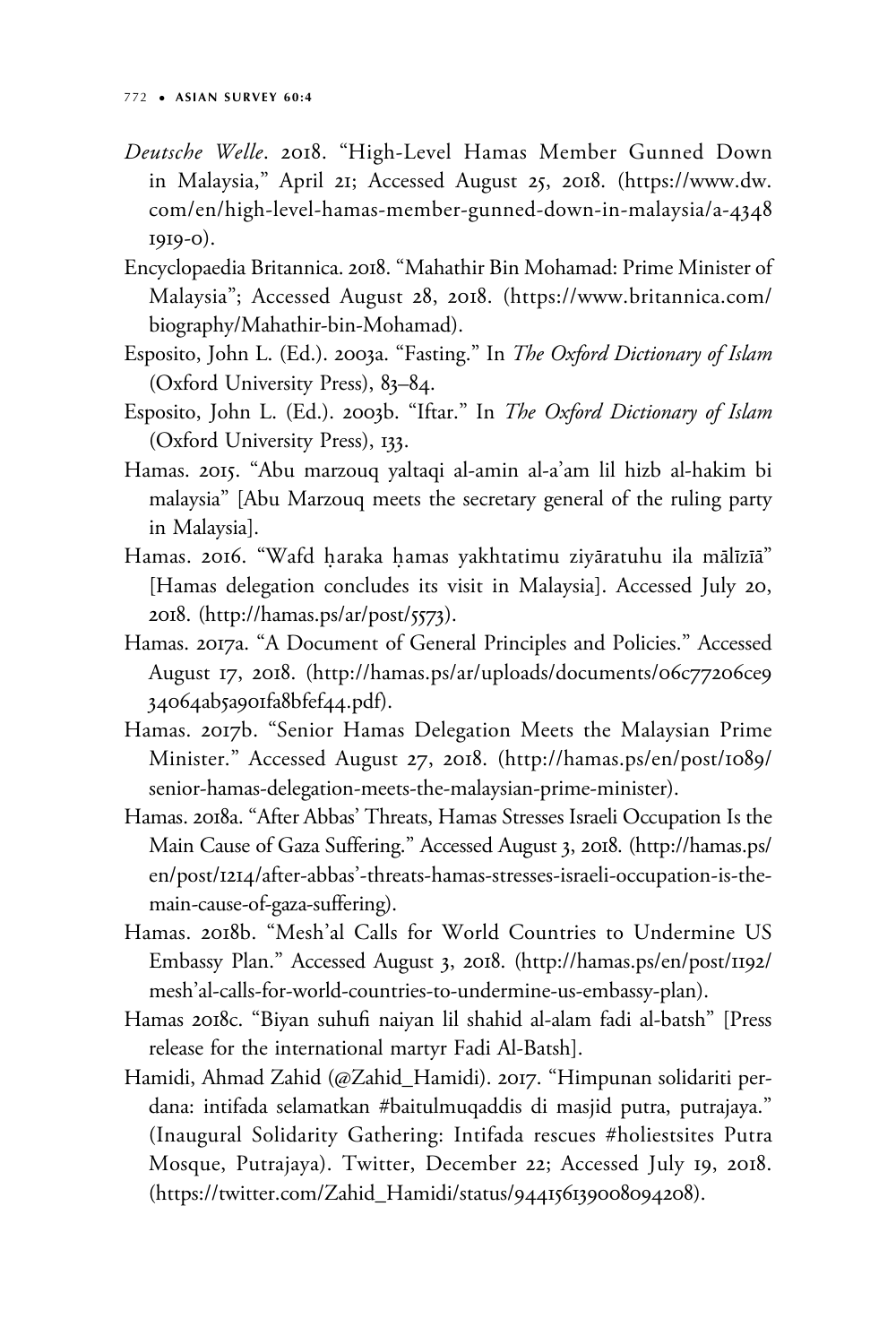- Deutsche Welle. 2018. "High-Level Hamas Member Gunned Down in Malaysia," April 21; Accessed August 25, 2018. ([https://www.dw.](https://www.dw.com/en/high-level-hamas-member-gunned-down-in-malaysia/a-43481919-0) [com/en/high-level-hamas-member-gunned-down-in-malaysia/a-](https://www.dw.com/en/high-level-hamas-member-gunned-down-in-malaysia/a-43481919-0)4348 [1919](https://www.dw.com/en/high-level-hamas-member-gunned-down-in-malaysia/a-43481919-0)-0).
- Encyclopaedia Britannica. 2018. "Mahathir Bin Mohamad: Prime Minister of Malaysia"; Accessed August 28, 2018. ([https://www.britannica.com/](https://www.britannica.com/biography/Mahathir-bin-Mohamad) [biography/Mahathir-bin-Mohamad\)](https://www.britannica.com/biography/Mahathir-bin-Mohamad).
- Esposito, John L. (Ed.). 2003a. "Fasting." In The Oxford Dictionary of Islam (Oxford University Press), 83–84.
- Esposito, John L. (Ed.). 2003b. "Iftar." In The Oxford Dictionary of Islam (Oxford University Press), 133.
- Hamas. 2015. "Abu marzouq yaltaqi al-amin al-a'am lil hizb al-hakim bi malaysia" [Abu Marzouq meets the secretary general of the ruling party in Malaysia].
- Hamas. 2016. "Wafd ḥaraka ḥamas yakhtatimu ziyāratuhu ila mālīzīā<mark>"</mark> [Hamas delegation concludes its visit in Malaysia]. Accessed July 20, 2018. ([http://hamas.ps/ar/post/](http://hamas.ps/ar/post/5573)5573).
- Hamas. 2017a. "A Document of General Principles and Policies." Accessed August 17, 2018. ([http://hamas.ps/ar/uploads/documents/](http://hamas.ps/ar/uploads/documents/06c77206ce934064ab5a901fa8bfef44.pdf)06c77206ce9 [34064](http://hamas.ps/ar/uploads/documents/06c77206ce934064ab5a901fa8bfef44.pdf)ab5a901fa8bfef44.pdf).
- Hamas. 2017b. "Senior Hamas Delegation Meets the Malaysian Prime Minister." Accessed August 27, 2018. [\(http://hamas.ps/en/post/](http://hamas.ps/en/post/1089/senior-hamas-delegation-meets-the-malaysian-prime-minister)1089/ [senior-hamas-delegation-meets-the-malaysian-prime-minister\)](http://hamas.ps/en/post/1089/senior-hamas-delegation-meets-the-malaysian-prime-minister).
- Hamas. 2018a. "After Abbas' Threats, Hamas Stresses Israeli Occupation Is the Main Cause of Gaza Suffering." Accessed August 3, 2018. [\(http://hamas.ps/](http://hamas.ps/en/post/1214/after-abbas) en/post/1214[/after-abbas'-threats-hamas-stresses-israeli-occupation-is-the](http://hamas.ps/en/post/1214/after-abbas)[main-cause-of-gaza-suffering\)](http://hamas.ps/en/post/1214/after-abbas).
- Hamas. 2018b. "Mesh'al Calls for World Countries to Undermine US Embassy Plan." Accessed August 3, 2018. [\(http://hamas.ps/en/post/](http://hamas.ps/en/post/1192/mesh)1192/ [mesh'al-calls-for-world-countries-to-undermine-us-embassy-plan\)](http://hamas.ps/en/post/1192/mesh).
- Hamas 2018c. "Biyan suhufi naiyan lil shahid al-alam fadi al-batsh" [Press release for the international martyr Fadi Al-Batsh].
- Hamidi, Ahmad Zahid (@Zahid\_Hamidi). 2017. "Himpunan solidariti perdana: intifada selamatkan #baitulmuqaddis di masjid putra, putrajaya." (Inaugural Solidarity Gathering: Intifada rescues #holiestsites Putra Mosque, Putrajaya). Twitter, December 22; Accessed July 19, 2018. [\(https://twitter.com/Zahid\\_Hamidi/status/](https://twitter.com/Zahid_Hamidi/status/944156139008094208)944156139008094208).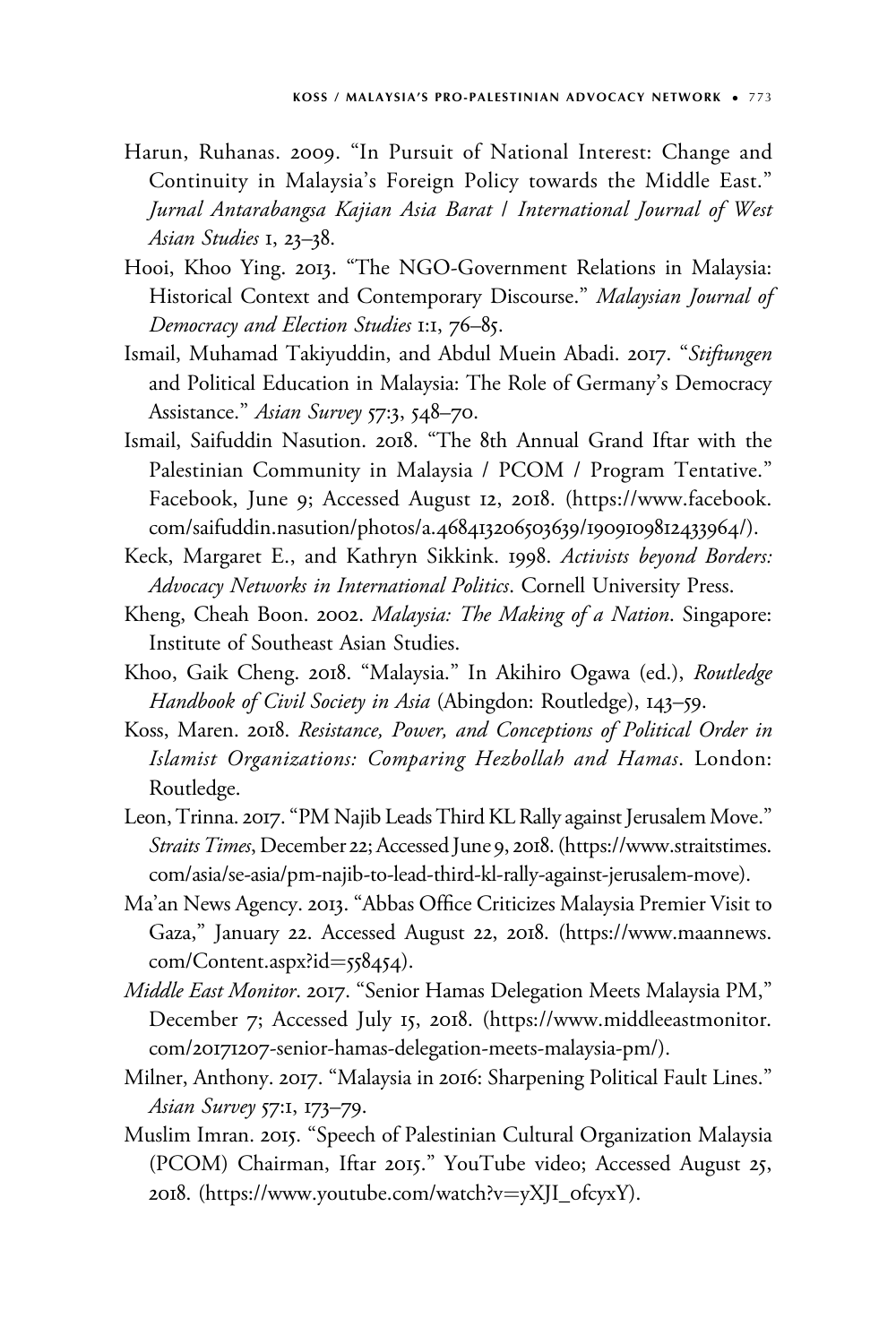- Harun, Ruhanas. 2009. "In Pursuit of National Interest: Change and Continuity in Malaysia's Foreign Policy towards the Middle East." Jurnal Antarabangsa Kajian Asia Barat / International Journal of West Asian Studies 1, 23–38.
- Hooi, Khoo Ying. 2013. "The NGO-Government Relations in Malaysia: Historical Context and Contemporary Discourse." Malaysian Journal of Democracy and Election Studies 1:1, 76–85.
- Ismail, Muhamad Takiyuddin, and Abdul Muein Abadi. 2017. "Stiftungen and Political Education in Malaysia: The Role of Germany's Democracy Assistance." Asian Survey 57:3, 548-70.
- Ismail, Saifuddin Nasution. 2018. "The 8th Annual Grand Iftar with the Palestinian Community in Malaysia / PCOM / Program Tentative." Facebook, June 9; Accessed August 12, 2018. ([https://www.facebook.](https://www.facebook.com/saifuddin.nasution/photos/a.468413206503639/1909109812433964/) [com/saifuddin.nasution/photos/a.](https://www.facebook.com/saifuddin.nasution/photos/a.468413206503639/1909109812433964/)468413206503639/1909109812433964/).
- Keck, Margaret E., and Kathryn Sikkink. 1998. Activists beyond Borders: Advocacy Networks in International Politics. Cornell University Press.
- Kheng, Cheah Boon. 2002. Malaysia: The Making of a Nation. Singapore: Institute of Southeast Asian Studies.
- Khoo, Gaik Cheng. 2018. "Malaysia." In Akihiro Ogawa (ed.), Routledge Handbook of Civil Society in Asia (Abingdon: Routledge), 143-59.
- Koss, Maren. 2018. Resistance, Power, and Conceptions of Political Order in Islamist Organizations: Comparing Hezbollah and Hamas. London: Routledge.
- Leon, Trinna. 2017. "PM Najib Leads Third KL Rally against Jerusalem Move." Straits Times, December 22; Accessed June 9, 2018. [\(https://www.straitstimes.](https://www.straitstimes.com/asia/se-asia/pm-najib-to-lead-third-kl-rally-against-jerusalem-move) [com/asia/se-asia/pm-najib-to-lead-third-kl-rally-against-jerusalem-move](https://www.straitstimes.com/asia/se-asia/pm-najib-to-lead-third-kl-rally-against-jerusalem-move)).
- Ma'an News Agency. 2013. "Abbas Office Criticizes Malaysia Premier Visit to Gaza," January 22. Accessed August 22, 2018. ([https://www.maannews.](https://www.maannews.com/Content.aspx?id=558454)  $com/Content.aspx$  $id=558454$  $id=558454$ ).
- Middle East Monitor. 2017. "Senior Hamas Delegation Meets Malaysia PM," December 7; Accessed July 15, 2018. ([https://www.middleeastmonitor.](https://www.middleeastmonitor.com/20171207-senior-hamas-delegation-meets-malaysia-pm/) com/20171207[-senior-hamas-delegation-meets-malaysia-pm/](https://www.middleeastmonitor.com/20171207-senior-hamas-delegation-meets-malaysia-pm/)).
- Milner, Anthony. 2017. "Malaysia in 2016: Sharpening Political Fault Lines." Asian Survey 57:1, 173–79.
- Muslim Imran. 2015. "Speech of Palestinian Cultural Organization Malaysia (PCOM) Chairman, Iftar 2015." YouTube video; Accessed August 25, 2018. ([https://www.youtube.com/watch?v](https://www.youtube.com/watch?v=yXJI_0fcyxY)=[yXJI\\_](https://www.youtube.com/watch?v=yXJI_0fcyxY)0fcyxY).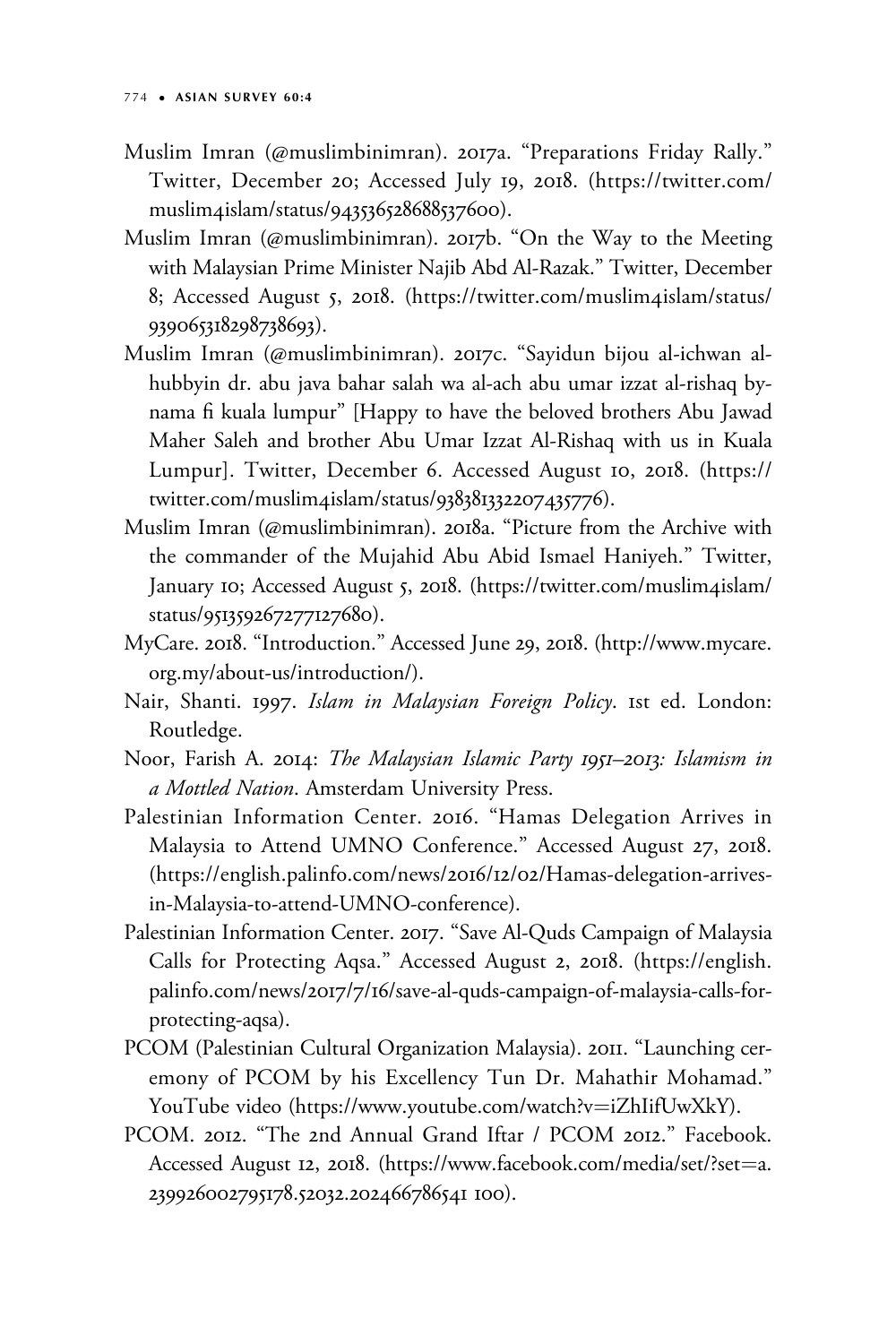- Muslim Imran (@muslimbinimran). 2017a. "Preparations Friday Rally." Twitter, December 20; Accessed July 19, 2018. ([https://twitter.com/](https://twitter.com/muslim4islam/status/943536528688537600) muslim4islam/status/[943536528688537600](https://twitter.com/muslim4islam/status/943536528688537600)).
- Muslim Imran (@muslimbinimran). 2017b. "On the Way to the Meeting with Malaysian Prime Minister Najib Abd Al-Razak." Twitter, December 8; Accessed August 5, 2018. (<https://twit>[ter.com/muslim](ter.com/muslim4islam/status/939065318298738693)4islam/status/ [939065318298738693](ter.com/muslim4islam/status/939065318298738693)).
- Muslim Imran (@muslimbinimran). 2017c. "Sayidun bijou al-ichwan alhubbyin dr. abu java bahar salah wa al-ach abu umar izzat al-rishaq bynama fi kuala lumpur" [Happy to have the beloved brothers Abu Jawad Maher Saleh and brother Abu Umar Izzat Al-Rishaq with us in Kuala Lumpur]. Twitter, December 6. Accessed August 10, 2018. ([https://](https://twitter.com/muslim4islam/status/938381332207435776) [twitter.com/muslim](https://twitter.com/muslim4islam/status/938381332207435776)4islam/status/938381332207435776).
- Muslim Imran (@muslimbinimran). 2018a. "Picture from the Archive with the commander of the Mujahid Abu Abid Ismael Haniyeh." Twitter, January 10; Accessed August 5, 2018. ([https://twitter.com/muslim](https://twitter.com/muslim4islam/status/951359267277127680)4islam/ status/[951359267277127680](https://twitter.com/muslim4islam/status/951359267277127680)).
- MyCare. 2018. "Introduction." Accessed June 29, 2018. ([http://www.mycare.](http://www.mycare.org.my/about-us/introduction/) [org.my/about-us/introduction/\)](http://www.mycare.org.my/about-us/introduction/).
- Nair, Shanti. 1997. Islam in Malaysian Foreign Policy. 1st ed. London: Routledge.
- Noor, Farish A. 2014: The Malaysian Islamic Party 1951–2013: Islamism in a Mottled Nation. Amsterdam University Press.
- Palestinian Information Center. 2016. "Hamas Delegation Arrives in Malaysia to Attend UMNO Conference." Accessed August 27, 2018. [\(https://english.palinfo.com/news/](https://english.palinfo.com/news/2016/12/02/Hamas-delegation-arrives-in-Malaysia-to-attend-UMNO-conference)2016/12/02/Hamas-delegation-arrives[in-Malaysia-to-attend-UMNO-conference](https://english.palinfo.com/news/2016/12/02/Hamas-delegation-arrives-in-Malaysia-to-attend-UMNO-conference)).
- Palestinian Information Center. 2017. "Save Al-Quds Campaign of Malaysia Calls for Protecting Aqsa." Accessed August 2, 2018. ([https://english.](https://english.palinfo.com/news/2017/7/16/save-al-quds-campaign-of-malaysia-calls-for-protecting-aqsa) palinfo.com/news/2017/7/16[/save-al-quds-campaign-of-malaysia-calls-for](https://english.palinfo.com/news/2017/7/16/save-al-quds-campaign-of-malaysia-calls-for-protecting-aqsa)[protecting-aqsa](https://english.palinfo.com/news/2017/7/16/save-al-quds-campaign-of-malaysia-calls-for-protecting-aqsa)).
- PCOM (Palestinian Cultural Organization Malaysia). 2011. "Launching ceremony of PCOM by his Excellency Tun Dr. Mahathir Mohamad." YouTube video [\(https://www.youtube.com/watch?v](https://www.youtube.com/watch?v=iZhIifUwXkY)=[iZhIifUwXkY](https://www.youtube.com/watch?v=iZhIifUwXkY)).
- PCOM. 2012. "The 2nd Annual Grand Iftar / PCOM 2012." Facebook. Accessed August 12, 2018. ([https://www.facebook.com/media/set/?set](https://www.facebook.com/media/set/?set=a.239926002795178.52032.202466786541 100)=[a.](https://www.facebook.com/media/set/?set=a.239926002795178.52032.202466786541 100) 239926002795178.52032.[202466786541 100](https://www.facebook.com/media/set/?set=a.239926002795178.52032.202466786541 100)).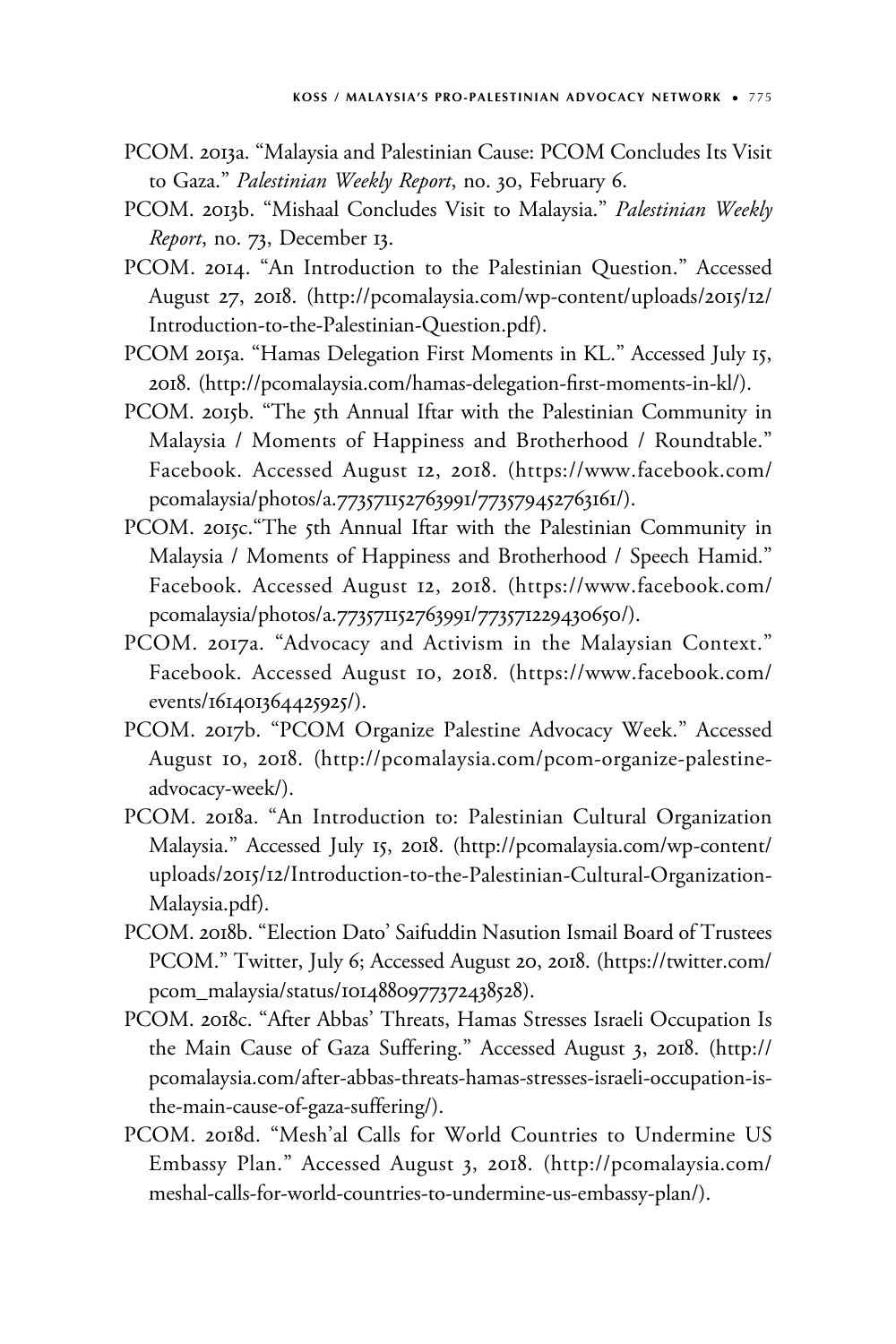- PCOM. 2013a. "Malaysia and Palestinian Cause: PCOM Concludes Its Visit to Gaza." *Palestinian Weekly Report*, no. 30, February 6.
- PCOM. 2013b. "Mishaal Concludes Visit to Malaysia." Palestinian Weekly Report, no. 73, December 13.
- PCOM. 2014. "An Introduction to the Palestinian Question." Accessed August 27, 2018. [\(http://pcomalaysia.com/wp-content/uploads/](http://pcomalaysia.com/wp-content/uploads/2015/12/Introduction-to-the-Palestinian-Question.pdf)2015/12/ [Introduction-to-the-Palestinian-Question.pdf\)](http://pcomalaysia.com/wp-content/uploads/2015/12/Introduction-to-the-Palestinian-Question.pdf).
- PCOM 2015a. "Hamas Delegation First Moments in KL." Accessed July 15, 2018. ([http://pcomalaysia.com/hamas-delegation-first-moments-in-kl/\)](http://pcomalaysia.com/hamas-delegation-first-moments-in-kl/).
- PCOM. 2015b. "The 5th Annual Iftar with the Palestinian Community in Malaysia / Moments of Happiness and Brotherhood / Roundtable." Facebook. Accessed August 12, 2018. [\(https://www.facebook.com/](https://www.facebook.com/pcomalaysia/photos/a.773571152763991/773579452763161/) [pcomalaysia/photos/a.](https://www.facebook.com/pcomalaysia/photos/a.773571152763991/773579452763161/)773571152763991/773579452763161/).
- PCOM. 2015c."The 5th Annual Iftar with the Palestinian Community in Malaysia / Moments of Happiness and Brotherhood / Speech Hamid." Facebook. Accessed August 12, 2018. [\(https://www.facebook.com/](https://www.facebook.com/pcomalaysia/photos/a.773571152763991/773571229430650/) [pcomalaysia/photos/a.](https://www.facebook.com/pcomalaysia/photos/a.773571152763991/773571229430650/)773571152763991/773571229430650/).
- PCOM. 2017a. "Advocacy and Activism in the Malaysian Context." Facebook. Accessed August 10, 2018. ([https://www.facebook.com/](https://www.facebook.com/events/161401364425925/) events/[161401364425925](https://www.facebook.com/events/161401364425925/)/).
- PCOM. 2017b. "PCOM Organize Palestine Advocacy Week." Accessed August 10, 2018. ([http://pcomalaysia.com/pcom-organize-palestine](http://pcomalaysia.com/pcom-organize-palestine-advocacy-week/)[advocacy-week/\)](http://pcomalaysia.com/pcom-organize-palestine-advocacy-week/).
- PCOM. 2018a. "An Introduction to: Palestinian Cultural Organization Malaysia." Accessed July 15, 2018. ([http://pcomalaysia.com/wp-content/](http://pcomalaysia.com/wp-content/uploads/2015/12/Introduction-to-the-Palestinian-Cultural-Organization-Malaysia.pdf) uploads/2015/12[/Introduction-to-the-Palestinian-Cultural-Organization-](http://pcomalaysia.com/wp-content/uploads/2015/12/Introduction-to-the-Palestinian-Cultural-Organization-Malaysia.pdf)[Malaysia.pdf\)](http://pcomalaysia.com/wp-content/uploads/2015/12/Introduction-to-the-Palestinian-Cultural-Organization-Malaysia.pdf).
- PCOM. 2018b. "Election Dato' Saifuddin Nasution Ismail Board of Trustees PCOM." Twitter, July 6; Accessed August 20, 2018. ([https://twitter.com/](https://twitter.com/pcom_malaysia/status/1014880977372438528) [pcom\\_malaysia/status/](https://twitter.com/pcom_malaysia/status/1014880977372438528)1014880977372438528).
- PCOM. 2018c. "After Abbas' Threats, Hamas Stresses Israeli Occupation Is the Main Cause of Gaza Suffering." Accessed August 3, 2018. ([http://](http://pcomalaysia.com/after-abbas-threats-hamas-stresses-israeli-occupation-is-the-main-cause-of-gaza-suffering/) [pcomalaysia.com/after-abbas-threats-hamas-stresses-israeli-occupation-is](http://pcomalaysia.com/after-abbas-threats-hamas-stresses-israeli-occupation-is-the-main-cause-of-gaza-suffering/)[the-main-cause-of-gaza-suffering/](http://pcomalaysia.com/after-abbas-threats-hamas-stresses-israeli-occupation-is-the-main-cause-of-gaza-suffering/)).
- PCOM. 2018d. "Mesh'al Calls for World Countries to Undermine US Embassy Plan." Accessed August 3, 2018. ([http://pcomalaysia.com/](http://pcomalaysia.com/meshal-calls-for-world-countries-to-undermine-us-embassy-plan/) [meshal-calls-for-world-countries-to-undermine-us-embassy-plan/\)](http://pcomalaysia.com/meshal-calls-for-world-countries-to-undermine-us-embassy-plan/).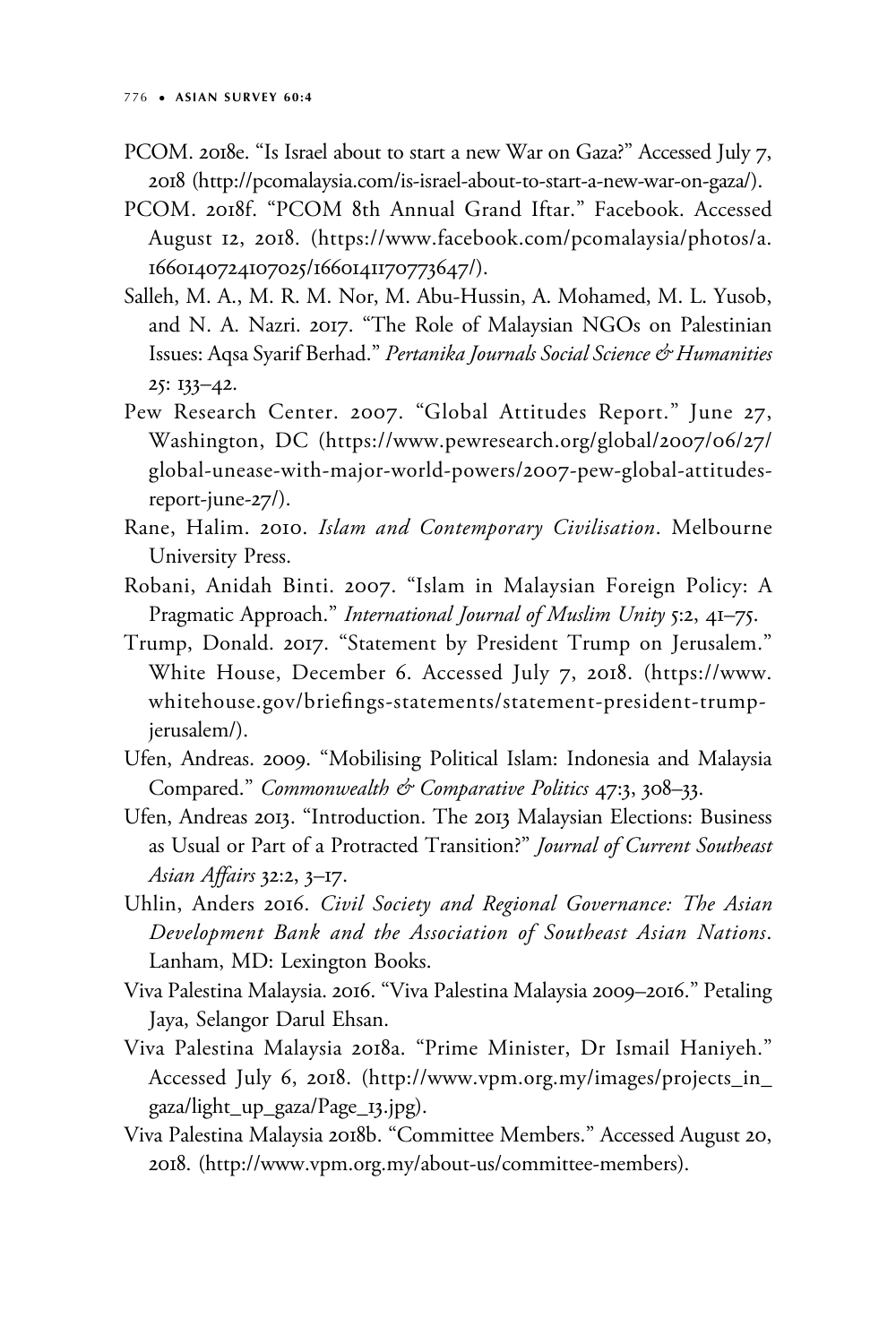- PCOM. 2018e. "Is Israel about to start a new War on Gaza?" Accessed July 7, 2018 ([http://pcomalaysia.com/is-israel-about-to-start-a-new-war-on-gaza/\)](http://pcomalaysia.com/is-israel-about-to-start-a-new-war-on-gaza/).
- PCOM. 2018f. "PCOM 8th Annual Grand Iftar." Facebook. Accessed August 12, 2018. ([https://www.facebook.com/pcomalaysia/photos/a.](https://www.facebook.com/pcomalaysia/photos/a.1660140724107025/1660141170773647/) [1660140724107025](https://www.facebook.com/pcomalaysia/photos/a.1660140724107025/1660141170773647/)/1660141170773647/).
- Salleh, M. A., M. R. M. Nor, M. Abu-Hussin, A. Mohamed, M. L. Yusob, and N. A. Nazri. 2017. "The Role of Malaysian NGOs on Palestinian Issues: Aqsa Syarif Berhad." Pertanika Journals Social Science & Humanities 25: 133–42.
- Pew Research Center. 2007. "Global Attitudes Report." June 27, Washington, DC ([https://www.pewresearch.org/global/](https://www.pewresearch.org/global/2007/06/27/global-unease-with-major-world-powers/2007-pew-global-attitudes-report-june-27/)2007/06/27/ [global-unease-with-major-world-powers/](https://www.pewresearch.org/global/2007/06/27/global-unease-with-major-world-powers/2007-pew-global-attitudes-report-june-27/)2007-pew-global-attitudes[report-june-](https://www.pewresearch.org/global/2007/06/27/global-unease-with-major-world-powers/2007-pew-global-attitudes-report-june-27/)27/).
- Rane, Halim. 2010. Islam and Contemporary Civilisation. Melbourne University Press.
- Robani, Anidah Binti. 2007. "Islam in Malaysian Foreign Policy: A Pragmatic Approach." International Journal of Muslim Unity 5:2, 41–75.
- Trump, Donald. 2017. "Statement by President Trump on Jerusalem." White House, December 6. Accessed July 7, 2018. ([https://www.](https://www.whitehouse.gov/briefings-statements/statement-president-trump-jerusalem/) [whitehouse.gov/briefings-statements/statement-president-trump](https://www.whitehouse.gov/briefings-statements/statement-president-trump-jerusalem/)[jerusalem/\)](https://www.whitehouse.gov/briefings-statements/statement-president-trump-jerusalem/).
- Ufen, Andreas. 2009. "Mobilising Political Islam: Indonesia and Malaysia Compared." Commonwealth & Comparative Politics 47:3, 308–33.
- Ufen, Andreas 2013. "Introduction. The 2013 Malaysian Elections: Business as Usual or Part of a Protracted Transition?" Journal of Current Southeast Asian Affairs 32:2, 3–17.
- Uhlin, Anders 2016. Civil Society and Regional Governance: The Asian Development Bank and the Association of Southeast Asian Nations. Lanham, MD: Lexington Books.
- Viva Palestina Malaysia. 2016. "Viva Palestina Malaysia 2009–2016." Petaling Jaya, Selangor Darul Ehsan.
- Viva Palestina Malaysia 2018a. "Prime Minister, Dr Ismail Haniyeh." Accessed July 6, 2018. ([http://www.vpm.org.my/images/projects\\_in\\_](http://www.vpm.org.my/images/projects_in_gaza/light_up_gaza/Page_13.jpg) [gaza/light\\_up\\_gaza/Page\\_](http://www.vpm.org.my/images/projects_in_gaza/light_up_gaza/Page_13.jpg)13.jpg).
- Viva Palestina Malaysia 2018b. "Committee Members." Accessed August 20, 2018. ([http://www.vpm.org.my/about-us/committee-members\)](http://www.vpm.org.my/about-us/committee-members).